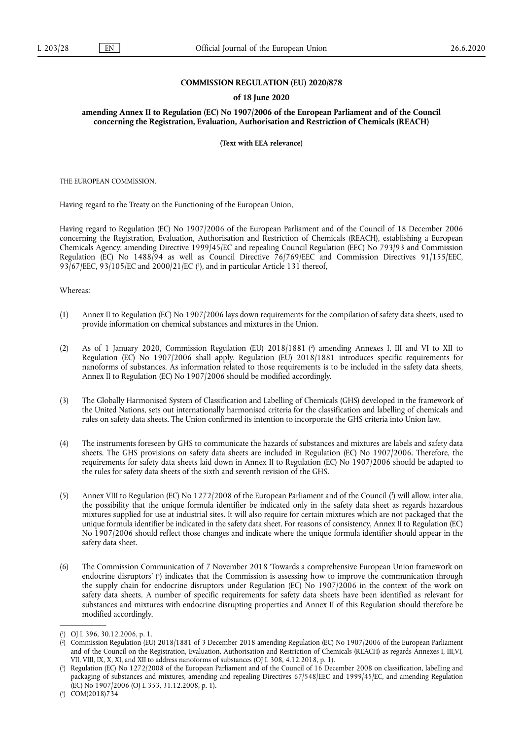### **COMMISSION REGULATION (EU) 2020/878**

### **of 18 June 2020**

**amending Annex II to Regulation (EC) No 1907/2006 of the European Parliament and of the Council concerning the Registration, Evaluation, Authorisation and Restriction of Chemicals (REACH)** 

**(Text with EEA relevance)** 

THE EUROPEAN COMMISSION,

Having regard to the Treaty on the Functioning of the European Union,

Having regard to Regulation (EC) No 1907/2006 of the European Parliament and of the Council of 18 December 2006 concerning the Registration, Evaluation, Authorisation and Restriction of Chemicals (REACH), establishing a European Chemicals Agency, amending Directive 1999/45/EC and repealing Council Regulation (EEC) No 793/93 and Commission Regulation (EC) No 1488/94 as well as Council Directive 76/769/EEC and Commission Directives 91/155/EEC, 93/67/EEC, 93/105/EC and 2000/21/EC [\(](#page-0-0) 1 ), and in particular Article 131 thereof,

<span id="page-0-4"></span>Whereas:

- (1) Annex II to Regulation (EC) No 1907/2006 lays down requirements for the compilation of safety data sheets, used to provide information on chemical substances and mixtures in the Union.
- <span id="page-0-5"></span>(2) As of 1 January 2020, Commission Regulation (EU) 2018/1881 ( 2 [\)](#page-0-1) amending Annexes I, III and VI to XII to Regulation (EC) No 1907/2006 shall apply. Regulation (EU) 2018/1881 introduces specific requirements for nanoforms of substances. As information related to those requirements is to be included in the safety data sheets, Annex II to Regulation (EC) No 1907/2006 should be modified accordingly.
- (3) The Globally Harmonised System of Classification and Labelling of Chemicals (GHS) developed in the framework of the United Nations, sets out internationally harmonised criteria for the classification and labelling of chemicals and rules on safety data sheets. The Union confirmed its intention to incorporate the GHS criteria into Union law.
- (4) The instruments foreseen by GHS to communicate the hazards of substances and mixtures are labels and safety data sheets. The GHS provisions on safety data sheets are included in Regulation (EC) No 1907/2006. Therefore, the requirements for safety data sheets laid down in Annex II to Regulation (EC) No 1907/2006 should be adapted to the rules for safety data sheets of the sixth and seventh revision of the GHS.
- <span id="page-0-6"></span>(5) Annex VIII to Regulation (EC) No 1272/2008 of the European Parliament and of the Council [\(](#page-0-2) 3 ) will allow, inter alia, the possibility that the unique formula identifier be indicated only in the safety data sheet as regards hazardous mixtures supplied for use at industrial sites. It will also require for certain mixtures which are not packaged that the unique formula identifier be indicated in the safety data sheet. For reasons of consistency, Annex II to Regulation (EC) No 1907/2006 should reflect those changes and indicate where the unique formula identifier should appear in the safety data sheet.
- <span id="page-0-7"></span>(6) The Commission Communication of 7 November 2018 'Towards a comprehensive European Union framework on endocrine disruptors' ( 4 [\)](#page-0-3) indicates that the Commission is assessing how to improve the communication through the supply chain for endocrine disruptors under Regulation (EC) No 1907/2006 in the context of the work on safety data sheets. A number of specific requirements for safety data sheets have been identified as relevant for substances and mixtures with endocrine disrupting properties and Annex II of this Regulation should therefore be modified accordingly.

<span id="page-0-0"></span>[<sup>\(</sup>](#page-0-4) 1 ) OJ L 396, 30.12.2006, p. 1.

<span id="page-0-1"></span>[<sup>\(</sup>](#page-0-5) 2 ) Commission Regulation (EU) 2018/1881 of 3 December 2018 amending Regulation (EC) No 1907/2006 of the European Parliament and of the Council on the Registration, Evaluation, Authorisation and Restriction of Chemicals (REACH) as regards Annexes I, III,VI, VII, VIII, IX, X, XI, and XII to address nanoforms of substances (OJ L 308, 4.12.2018, p. 1).

<span id="page-0-2"></span>[<sup>\(</sup>](#page-0-6) 3 ) Regulation (EC) No 1272/2008 of the European Parliament and of the Council of 16 December 2008 on classification, labelling and packaging of substances and mixtures, amending and repealing Directives 67/548/EEC and 1999/45/EC, and amending Regulation (EC) No 1907/2006 (OJ L 353, 31.12.2008, p. 1).

<span id="page-0-3"></span><sup>(</sup> 4 [\)](#page-0-7) COM(2018)734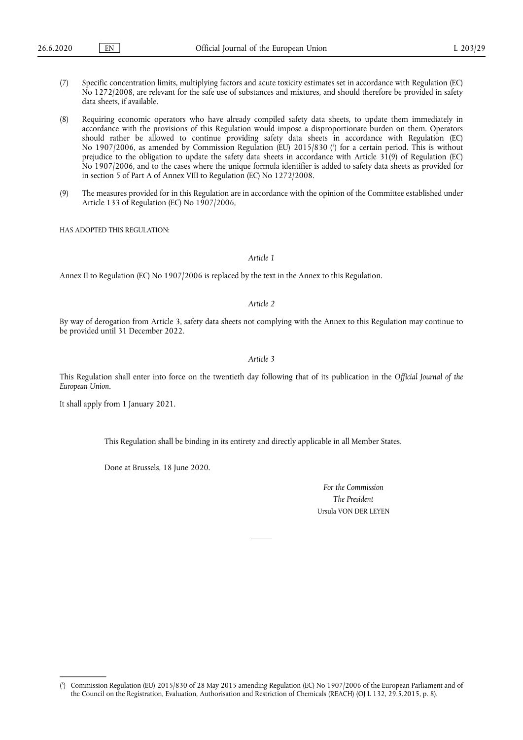- (7) Specific concentration limits, multiplying factors and acute toxicity estimates set in accordance with Regulation (EC) No 1272/2008, are relevant for the safe use of substances and mixtures, and should therefore be provided in safety data sheets, if available.
- <span id="page-1-1"></span>(8) Requiring economic operators who have already compiled safety data sheets, to update them immediately in accordance with the provisions of this Regulation would impose a disproportionate burden on them. Operators should rather be allowed to continue providing safety data sheets in accordance with Regulation (EC) No 1907/2006, as amended by Commission Regulation (EU) 2015/830 ( 5 [\)](#page-1-0) for a certain period. This is without prejudice to the obligation to update the safety data sheets in accordance with Article 31(9) of Regulation (EC) No 1907/2006, and to the cases where the unique formula identifier is added to safety data sheets as provided for in section 5 of Part A of Annex VIII to Regulation (EC) No 1272/2008.
- (9) The measures provided for in this Regulation are in accordance with the opinion of the Committee established under Article 133 of Regulation (EC) No 1907/2006,

HAS ADOPTED THIS REGULATION:

### *Article 1*

Annex II to Regulation (EC) No 1907/2006 is replaced by the text in the Annex to this Regulation.

## *Article 2*

By way of derogation from Article 3, safety data sheets not complying with the Annex to this Regulation may continue to be provided until 31 December 2022.

#### *Article 3*

This Regulation shall enter into force on the twentieth day following that of its publication in the *Official Journal of the European Union*.

It shall apply from 1 January 2021.

This Regulation shall be binding in its entirety and directly applicable in all Member States.

Done at Brussels, 18 June 2020.

*For the Commission The President*  Ursula VON DER LEYEN

<span id="page-1-0"></span>[<sup>\(</sup>](#page-1-1) 5 ) Commission Regulation (EU) 2015/830 of 28 May 2015 amending Regulation (EC) No 1907/2006 of the European Parliament and of the Council on the Registration, Evaluation, Authorisation and Restriction of Chemicals (REACH) (OJ L 132, 29.5.2015, p. 8).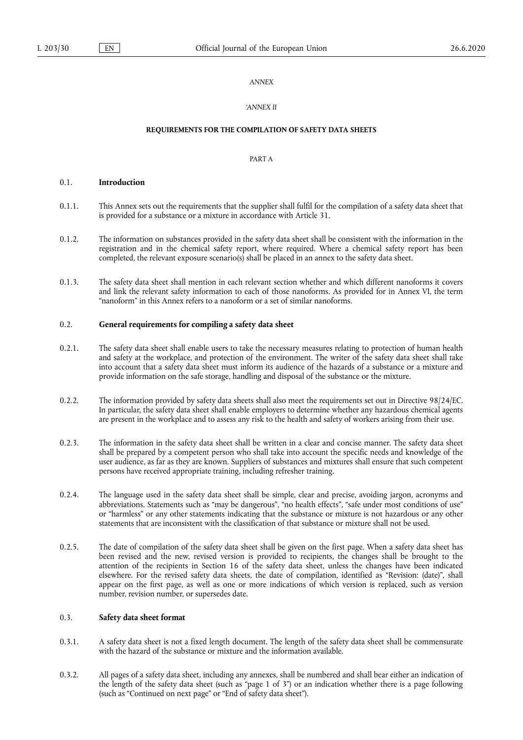## *ANNEX*

## *'ANNEX II*

#### **REQUIREMENTS FOR THE COMPILATION OF SAFETY DATA SHEETS**

## PART A

### 0.1. **Introduction**

- 0.1.1. This Annex sets out the requirements that the supplier shall fulfil for the compilation of a safety data sheet that is provided for a substance or a mixture in accordance with Article 31.
- 0.1.2. The information on substances provided in the safety data sheet shall be consistent with the information in the registration and in the chemical safety report, where required. Where a chemical safety report has been completed, the relevant exposure scenario(s) shall be placed in an annex to the safety data sheet.
- 0.1.3. The safety data sheet shall mention in each relevant section whether and which different nanoforms it covers and link the relevant safety information to each of those nanoforms. As provided for in Annex VI, the term "nanoform" in this Annex refers to a nanoform or a set of similar nanoforms.

## 0.2. **General requirements for compiling a safety data sheet**

- 0.2.1. The safety data sheet shall enable users to take the necessary measures relating to protection of human health and safety at the workplace, and protection of the environment. The writer of the safety data sheet shall take into account that a safety data sheet must inform its audience of the hazards of a substance or a mixture and provide information on the safe storage, handling and disposal of the substance or the mixture.
- 0.2.2. The information provided by safety data sheets shall also meet the requirements set out in Directive 98/24/EC. In particular, the safety data sheet shall enable employers to determine whether any hazardous chemical agents are present in the workplace and to assess any risk to the health and safety of workers arising from their use.
- 0.2.3. The information in the safety data sheet shall be written in a clear and concise manner. The safety data sheet shall be prepared by a competent person who shall take into account the specific needs and knowledge of the user audience, as far as they are known. Suppliers of substances and mixtures shall ensure that such competent persons have received appropriate training, including refresher training.
- 0.2.4. The language used in the safety data sheet shall be simple, clear and precise, avoiding jargon, acronyms and abbreviations. Statements such as "may be dangerous", "no health effects", "safe under most conditions of use" or "harmless" or any other statements indicating that the substance or mixture is not hazardous or any other statements that are inconsistent with the classification of that substance or mixture shall not be used.
- 0.2.5. The date of compilation of the safety data sheet shall be given on the first page. When a safety data sheet has been revised and the new, revised version is provided to recipients, the changes shall be brought to the attention of the recipients in Section 16 of the safety data sheet, unless the changes have been indicated elsewhere. For the revised safety data sheets, the date of compilation, identified as "Revision: (date)", shall appear on the first page, as well as one or more indications of which version is replaced, such as version number, revision number, or supersedes date.

### 0.3. **Safety data sheet format**

- 0.3.1. A safety data sheet is not a fixed length document. The length of the safety data sheet shall be commensurate with the hazard of the substance or mixture and the information available.
- 0.3.2. All pages of a safety data sheet, including any annexes, shall be numbered and shall bear either an indication of the length of the safety data sheet (such as "page 1 of 3") or an indication whether there is a page following (such as "Continued on next page" or "End of safety data sheet").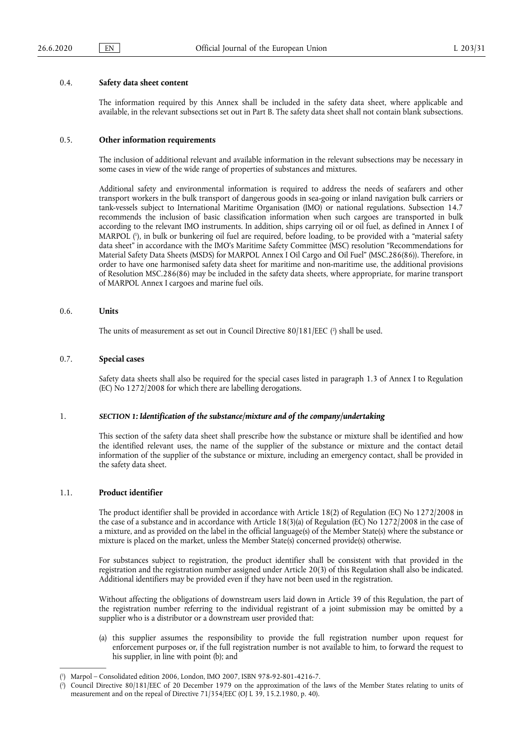#### 0.4. **Safety data sheet content**

The information required by this Annex shall be included in the safety data sheet, where applicable and available, in the relevant subsections set out in Part B. The safety data sheet shall not contain blank subsections.

#### 0.5. **Other information requirements**

The inclusion of additional relevant and available information in the relevant subsections may be necessary in some cases in view of the wide range of properties of substances and mixtures.

<span id="page-3-2"></span>Additional safety and environmental information is required to address the needs of seafarers and other transport workers in the bulk transport of dangerous goods in sea-going or inland navigation bulk carriers or tank-vessels subject to International Maritime Organisation (IMO) or national regulations. Subsection 14.7 recommends the inclusion of basic classification information when such cargoes are transported in bulk according to the relevant IMO instruments. In addition, ships carrying oil or oil fuel, as defined in Annex I of MARPOL ( 1 [\),](#page-3-0) in bulk or bunkering oil fuel are required, before loading, to be provided with a "material safety data sheet" in accordance with the IMO's Maritime Safety Committee (MSC) resolution "Recommendations for Material Safety Data Sheets (MSDS) for MARPOL Annex I Oil Cargo and Oil Fuel" (MSC.286(86)). Therefore, in order to have one harmonised safety data sheet for maritime and non-maritime use, the additional provisions of Resolution MSC.286(86) may be included in the safety data sheets, where appropriate, for marine transport of MARPOL Annex I cargoes and marine fuel oils.

## 0.6. **Units**

<span id="page-3-3"></span>The units of measurement as set out in Council Directive 80/181/EEC ( 2 [\)](#page-3-1) shall be used.

## 0.7. **Special cases**

Safety data sheets shall also be required for the special cases listed in paragraph 1.3 of Annex I to Regulation (EC) No 1272/2008 for which there are labelling derogations.

#### 1. *SECTION 1: Identification of the substance/mixture and of the company/undertaking*

This section of the safety data sheet shall prescribe how the substance or mixture shall be identified and how the identified relevant uses, the name of the supplier of the substance or mixture and the contact detail information of the supplier of the substance or mixture, including an emergency contact, shall be provided in the safety data sheet.

#### 1.1. **Product identifier**

The product identifier shall be provided in accordance with Article 18(2) of Regulation (EC) No 1272/2008 in the case of a substance and in accordance with Article 18(3)(a) of Regulation (EC) No 1272/2008 in the case of a mixture, and as provided on the label in the official language(s) of the Member State(s) where the substance or mixture is placed on the market, unless the Member State(s) concerned provide(s) otherwise.

For substances subject to registration, the product identifier shall be consistent with that provided in the registration and the registration number assigned under Article 20(3) of this Regulation shall also be indicated. Additional identifiers may be provided even if they have not been used in the registration.

Without affecting the obligations of downstream users laid down in Article 39 of this Regulation, the part of the registration number referring to the individual registrant of a joint submission may be omitted by a supplier who is a distributor or a downstream user provided that:

(a) this supplier assumes the responsibility to provide the full registration number upon request for enforcement purposes or, if the full registration number is not available to him, to forward the request to his supplier, in line with point (b); and

<span id="page-3-0"></span>[<sup>\(</sup>](#page-3-2) 1 ) Marpol – Consolidated edition 2006, London, IMO 2007, ISBN 978-92-801-4216-7.

<span id="page-3-1"></span>[<sup>\(</sup>](#page-3-3) 2 ) Council Directive 80/181/EEC of 20 December 1979 on the approximation of the laws of the Member States relating to units of measurement and on the repeal of Directive 71/354/EEC (OJ L 39, 15.2.1980, p. 40).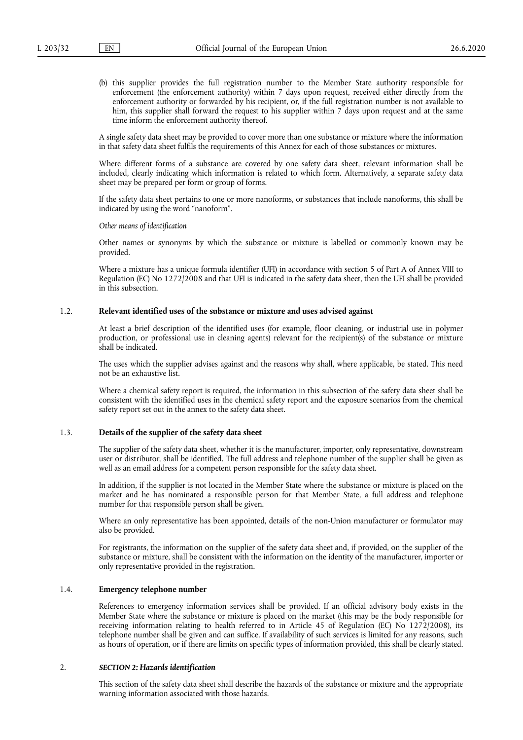(b) this supplier provides the full registration number to the Member State authority responsible for enforcement (the enforcement authority) within 7 days upon request, received either directly from the enforcement authority or forwarded by his recipient, or, if the full registration number is not available to him, this supplier shall forward the request to his supplier within 7 days upon request and at the same time inform the enforcement authority thereof.

A single safety data sheet may be provided to cover more than one substance or mixture where the information in that safety data sheet fulfils the requirements of this Annex for each of those substances or mixtures.

Where different forms of a substance are covered by one safety data sheet, relevant information shall be included, clearly indicating which information is related to which form. Alternatively, a separate safety data sheet may be prepared per form or group of forms.

If the safety data sheet pertains to one or more nanoforms, or substances that include nanoforms, this shall be indicated by using the word "nanoform".

*Other means of identification* 

Other names or synonyms by which the substance or mixture is labelled or commonly known may be provided.

Where a mixture has a unique formula identifier (UFI) in accordance with section 5 of Part A of Annex VIII to Regulation (EC) No 1272/2008 and that UFI is indicated in the safety data sheet, then the UFI shall be provided in this subsection.

## 1.2. **Relevant identified uses of the substance or mixture and uses advised against**

At least a brief description of the identified uses (for example, floor cleaning, or industrial use in polymer production, or professional use in cleaning agents) relevant for the recipient(s) of the substance or mixture shall be indicated.

The uses which the supplier advises against and the reasons why shall, where applicable, be stated. This need not be an exhaustive list.

Where a chemical safety report is required, the information in this subsection of the safety data sheet shall be consistent with the identified uses in the chemical safety report and the exposure scenarios from the chemical safety report set out in the annex to the safety data sheet.

#### 1.3. **Details of the supplier of the safety data sheet**

The supplier of the safety data sheet, whether it is the manufacturer, importer, only representative, downstream user or distributor, shall be identified. The full address and telephone number of the supplier shall be given as well as an email address for a competent person responsible for the safety data sheet.

In addition, if the supplier is not located in the Member State where the substance or mixture is placed on the market and he has nominated a responsible person for that Member State, a full address and telephone number for that responsible person shall be given.

Where an only representative has been appointed, details of the non-Union manufacturer or formulator may also be provided.

For registrants, the information on the supplier of the safety data sheet and, if provided, on the supplier of the substance or mixture, shall be consistent with the information on the identity of the manufacturer, importer or only representative provided in the registration.

## 1.4. **Emergency telephone number**

References to emergency information services shall be provided. If an official advisory body exists in the Member State where the substance or mixture is placed on the market (this may be the body responsible for receiving information relating to health referred to in Article 45 of Regulation (EC) No 1272/2008), its telephone number shall be given and can suffice. If availability of such services is limited for any reasons, such as hours of operation, or if there are limits on specific types of information provided, this shall be clearly stated.

### 2. *SECTION 2: Hazards identification*

This section of the safety data sheet shall describe the hazards of the substance or mixture and the appropriate warning information associated with those hazards.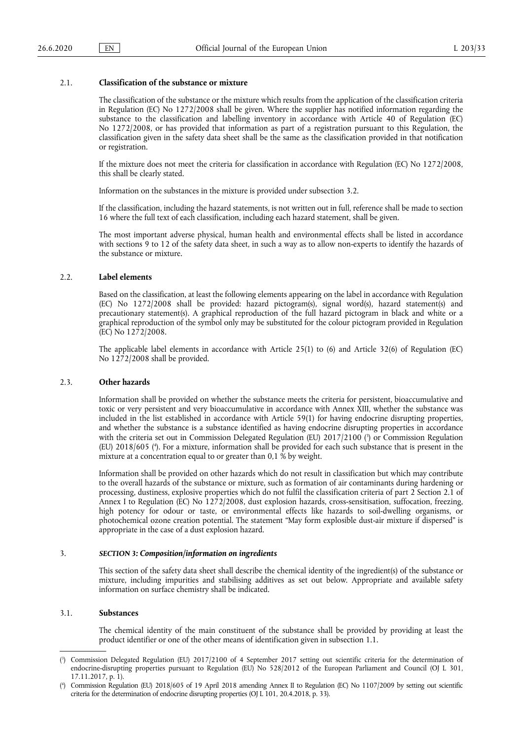### 2.1. **Classification of the substance or mixture**

The classification of the substance or the mixture which results from the application of the classification criteria in Regulation (EC) No 1272/2008 shall be given. Where the supplier has notified information regarding the substance to the classification and labelling inventory in accordance with Article 40 of Regulation (EC) No 1272/2008, or has provided that information as part of a registration pursuant to this Regulation, the classification given in the safety data sheet shall be the same as the classification provided in that notification or registration.

If the mixture does not meet the criteria for classification in accordance with Regulation (EC) No 1272/2008, this shall be clearly stated.

Information on the substances in the mixture is provided under subsection 3.2.

If the classification, including the hazard statements, is not written out in full, reference shall be made to section 16 where the full text of each classification, including each hazard statement, shall be given.

The most important adverse physical, human health and environmental effects shall be listed in accordance with sections 9 to 12 of the safety data sheet, in such a way as to allow non-experts to identify the hazards of the substance or mixture.

## 2.2. **Label elements**

Based on the classification, at least the following elements appearing on the label in accordance with Regulation (EC) No 1272/2008 shall be provided: hazard pictogram(s), signal word(s), hazard statement(s) and precautionary statement(s). A graphical reproduction of the full hazard pictogram in black and white or a graphical reproduction of the symbol only may be substituted for the colour pictogram provided in Regulation (EC) No 1272/2008.

The applicable label elements in accordance with Article 25(1) to (6) and Article 32(6) of Regulation (EC) No 1272/2008 shall be provided.

#### 2.3. **Other hazards**

<span id="page-5-2"></span>Information shall be provided on whether the substance meets the criteria for persistent, bioaccumulative and toxic or very persistent and very bioaccumulative in accordance with Annex XIII, whether the substance was included in the list established in accordance with Article 59(1) for having endocrine disrupting properties, and whether the substance is a substance identified as having endocrine disrupting properties in accordance with the criteria set out in Commission Delegated Regulation (EU) 2017/2100 [\(](#page-5-0) 3 ) or Commission Regulation (EU) 2018/605 ( 4 [\).](#page-5-1) For a mixture, information shall be provided for each such substance that is present in the mixture at a concentration equal to or greater than 0,1 % by weight.

<span id="page-5-3"></span>Information shall be provided on other hazards which do not result in classification but which may contribute to the overall hazards of the substance or mixture, such as formation of air contaminants during hardening or processing, dustiness, explosive properties which do not fulfil the classification criteria of part 2 Section 2.1 of Annex I to Regulation (EC) No 1272/2008, dust explosion hazards, cross-sensitisation, suffocation, freezing, high potency for odour or taste, or environmental effects like hazards to soil-dwelling organisms, or photochemical ozone creation potential. The statement "May form explosible dust-air mixture if dispersed" is appropriate in the case of a dust explosion hazard.

#### 3. *SECTION 3: Composition/information on ingredients*

This section of the safety data sheet shall describe the chemical identity of the ingredient(s) of the substance or mixture, including impurities and stabilising additives as set out below. Appropriate and available safety information on surface chemistry shall be indicated.

### 3.1. **Substances**

The chemical identity of the main constituent of the substance shall be provided by providing at least the product identifier or one of the other means of identification given in subsection 1.1.

<span id="page-5-0"></span>[<sup>\(</sup>](#page-5-2) 3 ) Commission Delegated Regulation (EU) 2017/2100 of 4 September 2017 setting out scientific criteria for the determination of endocrine-disrupting properties pursuant to Regulation (EU) No 528/2012 of the European Parliament and Council (OJ L 301, 17.11.2017, p. 1).

<span id="page-5-1"></span>[<sup>\(</sup>](#page-5-3) 4 ) Commission Regulation (EU) 2018/605 of 19 April 2018 amending Annex II to Regulation (EC) No 1107/2009 by setting out scientific criteria for the determination of endocrine disrupting properties (OJ L 101, 20.4.2018, p. 33).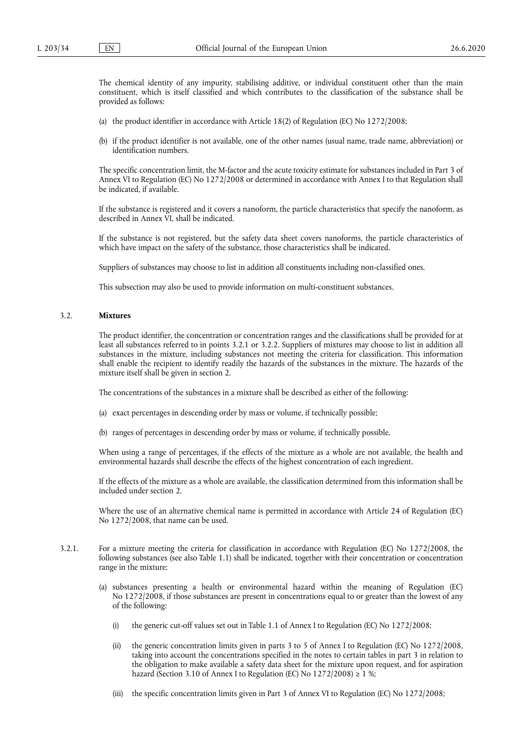The chemical identity of any impurity, stabilising additive, or individual constituent other than the main constituent, which is itself classified and which contributes to the classification of the substance shall be provided as follows:

- (a) the product identifier in accordance with Article 18(2) of Regulation (EC) No 1272/2008;
- (b) if the product identifier is not available, one of the other names (usual name, trade name, abbreviation) or identification numbers.

The specific concentration limit, the M-factor and the acute toxicity estimate for substances included in Part 3 of Annex VI to Regulation (EC) No 1272/2008 or determined in accordance with Annex I to that Regulation shall be indicated, if available.

If the substance is registered and it covers a nanoform, the particle characteristics that specify the nanoform, as described in Annex VI, shall be indicated.

If the substance is not registered, but the safety data sheet covers nanoforms, the particle characteristics of which have impact on the safety of the substance, those characteristics shall be indicated.

Suppliers of substances may choose to list in addition all constituents including non-classified ones.

This subsection may also be used to provide information on multi-constituent substances.

### 3.2. **Mixtures**

The product identifier, the concentration or concentration ranges and the classifications shall be provided for at least all substances referred to in points 3.2.1 or 3.2.2. Suppliers of mixtures may choose to list in addition all substances in the mixture, including substances not meeting the criteria for classification. This information shall enable the recipient to identify readily the hazards of the substances in the mixture. The hazards of the mixture itself shall be given in section 2.

The concentrations of the substances in a mixture shall be described as either of the following:

- (a) exact percentages in descending order by mass or volume, if technically possible;
- (b) ranges of percentages in descending order by mass or volume, if technically possible.

When using a range of percentages, if the effects of the mixture as a whole are not available, the health and environmental hazards shall describe the effects of the highest concentration of each ingredient.

If the effects of the mixture as a whole are available, the classification determined from this information shall be included under section 2.

Where the use of an alternative chemical name is permitted in accordance with Article 24 of Regulation (EC) No 1272/2008, that name can be used.

- 3.2.1. For a mixture meeting the criteria for classification in accordance with Regulation (EC) No 1272/2008, the following substances (see also Table 1.1) shall be indicated, together with their concentration or concentration range in the mixture:
	- (a) substances presenting a health or environmental hazard within the meaning of Regulation (EC) No 1272/2008, if those substances are present in concentrations equal to or greater than the lowest of any of the following:
		- (i) the generic cut-off values set out in Table 1.1 of Annex I to Regulation (EC) No 1272/2008;
		- (ii) the generic concentration limits given in parts 3 to 5 of Annex I to Regulation (EC) No 1272/2008, taking into account the concentrations specified in the notes to certain tables in part 3 in relation to the obligation to make available a safety data sheet for the mixture upon request, and for aspiration hazard (Section 3.10 of Annex I to Regulation (EC) No  $1272/2008$ ) ≥ 1 %;
		- (iii) the specific concentration limits given in Part 3 of Annex VI to Regulation (EC) No 1272/2008;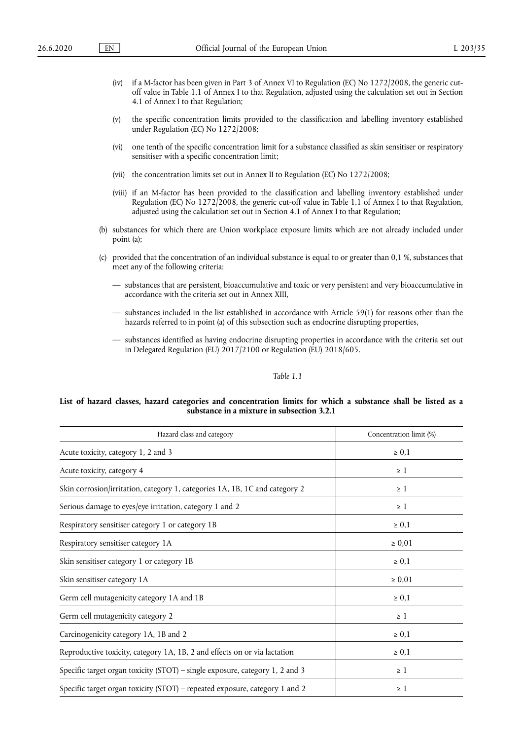- (iv) if a M-factor has been given in Part 3 of Annex VI to Regulation (EC) No 1272/2008, the generic cutoff value in Table 1.1 of Annex I to that Regulation, adjusted using the calculation set out in Section 4.1 of Annex I to that Regulation;
- (v) the specific concentration limits provided to the classification and labelling inventory established under Regulation (EC) No 1272/2008;
- (vi) one tenth of the specific concentration limit for a substance classified as skin sensitiser or respiratory sensitiser with a specific concentration limit;
- (vii) the concentration limits set out in Annex II to Regulation (EC) No 1272/2008;
- (viii) if an M-factor has been provided to the classification and labelling inventory established under Regulation (EC) No 1272/2008, the generic cut-off value in Table 1.1 of Annex I to that Regulation, adjusted using the calculation set out in Section 4.1 of Annex I to that Regulation;
- (b) substances for which there are Union workplace exposure limits which are not already included under point (a);
- (c) provided that the concentration of an individual substance is equal to or greater than 0,1 %, substances that meet any of the following criteria:
	- substances that are persistent, bioaccumulative and toxic or very persistent and very bioaccumulative in accordance with the criteria set out in Annex XIII,
	- substances included in the list established in accordance with Article 59(1) for reasons other than the hazards referred to in point (a) of this subsection such as endocrine disrupting properties,
	- substances identified as having endocrine disrupting properties in accordance with the criteria set out in Delegated Regulation (EU) 2017/2100 or Regulation (EU) 2018/605.

## *Table 1.1*

### **List of hazard classes, hazard categories and concentration limits for which a substance shall be listed as a substance in a mixture in subsection 3.2.1**

| Hazard class and category                                                    | Concentration limit (%) |
|------------------------------------------------------------------------------|-------------------------|
| Acute toxicity, category 1, 2 and 3                                          | $\geq 0.1$              |
| Acute toxicity, category 4                                                   | $\geq 1$                |
| Skin corrosion/irritation, category 1, categories 1A, 1B, 1C and category 2  | $\geq 1$                |
| Serious damage to eyes/eye irritation, category 1 and 2                      | $\geq 1$                |
| Respiratory sensitiser category 1 or category 1B                             | $\geq 0,1$              |
| Respiratory sensitiser category 1A                                           | $\ge 0.01$              |
| Skin sensitiser category 1 or category 1B                                    | $\geq 0.1$              |
| Skin sensitiser category 1A                                                  | $\ge 0.01$              |
| Germ cell mutagenicity category 1A and 1B                                    | $\geq 0.1$              |
| Germ cell mutagenicity category 2                                            | $\geq 1$                |
| Carcinogenicity category 1A, 1B and 2                                        | $\geq 0,1$              |
| Reproductive toxicity, category 1A, 1B, 2 and effects on or via lactation    | $\geq 0,1$              |
| Specific target organ toxicity (STOT) – single exposure, category 1, 2 and 3 | $\geq 1$                |
| Specific target organ toxicity (STOT) – repeated exposure, category 1 and 2  | $\geq 1$                |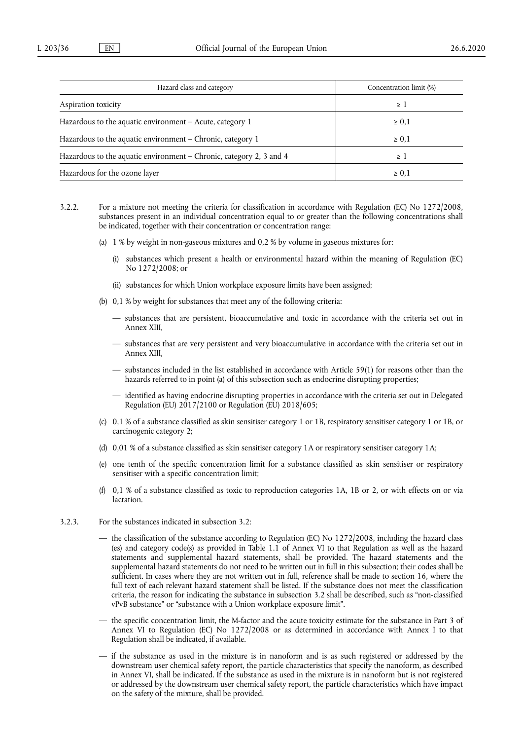| Hazard class and category                                           | Concentration limit (%) |
|---------------------------------------------------------------------|-------------------------|
| Aspiration toxicity                                                 | $\geq$ 1                |
| Hazardous to the aquatic environment $-$ Acute, category 1          | $\geq 0,1$              |
| Hazardous to the aquatic environment – Chronic, category 1          | $\geq 0.1$              |
| Hazardous to the aquatic environment – Chronic, category 2, 3 and 4 | >1                      |
| Hazardous for the ozone layer                                       | $\geq 0.1$              |

- 3.2.2. For a mixture not meeting the criteria for classification in accordance with Regulation (EC) No 1272/2008, substances present in an individual concentration equal to or greater than the following concentrations shall be indicated, together with their concentration or concentration range:
	- (a) 1 % by weight in non-gaseous mixtures and 0,2 % by volume in gaseous mixtures for:
		- (i) substances which present a health or environmental hazard within the meaning of Regulation (EC) No 1272/2008; or
		- (ii) substances for which Union workplace exposure limits have been assigned;
	- (b) 0,1 % by weight for substances that meet any of the following criteria:
		- substances that are persistent, bioaccumulative and toxic in accordance with the criteria set out in Annex XIII,
		- substances that are very persistent and very bioaccumulative in accordance with the criteria set out in Annex XIII,
		- substances included in the list established in accordance with Article 59(1) for reasons other than the hazards referred to in point (a) of this subsection such as endocrine disrupting properties;
		- identified as having endocrine disrupting properties in accordance with the criteria set out in Delegated Regulation (EU) 2017/2100 or Regulation (EU) 2018/605;
	- (c) 0,1 % of a substance classified as skin sensitiser category 1 or 1B, respiratory sensitiser category 1 or 1B, or carcinogenic category 2;
	- (d) 0,01 % of a substance classified as skin sensitiser category 1A or respiratory sensitiser category 1A;
	- (e) one tenth of the specific concentration limit for a substance classified as skin sensitiser or respiratory sensitiser with a specific concentration limit;
	- (f) 0,1 % of a substance classified as toxic to reproduction categories 1A, 1B or 2, or with effects on or via lactation.
- 3.2.3. For the substances indicated in subsection 3.2:
	- the classification of the substance according to Regulation (EC) No 1272/2008, including the hazard class (es) and category code(s) as provided in Table 1.1 of Annex VI to that Regulation as well as the hazard statements and supplemental hazard statements, shall be provided. The hazard statements and the supplemental hazard statements do not need to be written out in full in this subsection; their codes shall be sufficient. In cases where they are not written out in full, reference shall be made to section 16, where the full text of each relevant hazard statement shall be listed. If the substance does not meet the classification criteria, the reason for indicating the substance in subsection 3.2 shall be described, such as "non-classified vPvB substance" or "substance with a Union workplace exposure limit".
	- the specific concentration limit, the M-factor and the acute toxicity estimate for the substance in Part 3 of Annex VI to Regulation (EC) No 1272/2008 or as determined in accordance with Annex I to that Regulation shall be indicated, if available.
	- if the substance as used in the mixture is in nanoform and is as such registered or addressed by the downstream user chemical safety report, the particle characteristics that specify the nanoform, as described in Annex VI, shall be indicated. If the substance as used in the mixture is in nanoform but is not registered or addressed by the downstream user chemical safety report, the particle characteristics which have impact on the safety of the mixture, shall be provided.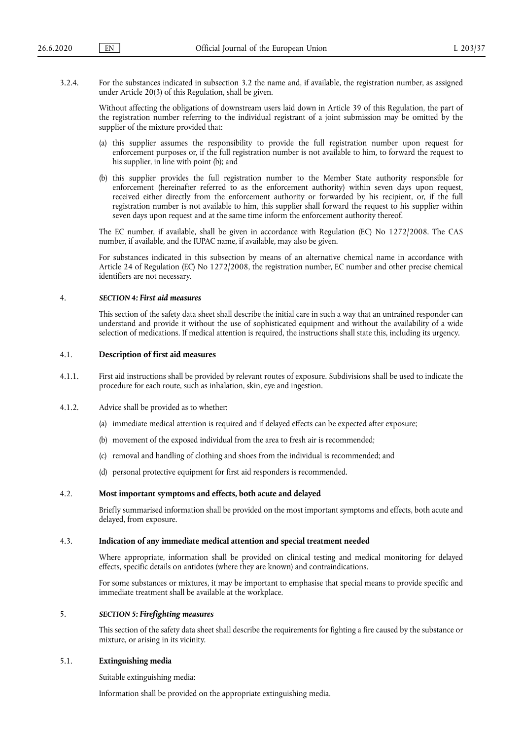3.2.4. For the substances indicated in subsection 3.2 the name and, if available, the registration number, as assigned under Article 20(3) of this Regulation, shall be given.

Without affecting the obligations of downstream users laid down in Article 39 of this Regulation, the part of the registration number referring to the individual registrant of a joint submission may be omitted by the supplier of the mixture provided that:

- (a) this supplier assumes the responsibility to provide the full registration number upon request for enforcement purposes or, if the full registration number is not available to him, to forward the request to his supplier, in line with point (b); and
- (b) this supplier provides the full registration number to the Member State authority responsible for enforcement (hereinafter referred to as the enforcement authority) within seven days upon request, received either directly from the enforcement authority or forwarded by his recipient, or, if the full registration number is not available to him, this supplier shall forward the request to his supplier within seven days upon request and at the same time inform the enforcement authority thereof.

The EC number, if available, shall be given in accordance with Regulation (EC) No 1272/2008. The CAS number, if available, and the IUPAC name, if available, may also be given.

For substances indicated in this subsection by means of an alternative chemical name in accordance with Article 24 of Regulation (EC) No 1272/2008, the registration number, EC number and other precise chemical identifiers are not necessary.

#### 4. *SECTION 4: First aid measures*

This section of the safety data sheet shall describe the initial care in such a way that an untrained responder can understand and provide it without the use of sophisticated equipment and without the availability of a wide selection of medications. If medical attention is required, the instructions shall state this, including its urgency.

### 4.1. **Description of first aid measures**

- 4.1.1. First aid instructions shall be provided by relevant routes of exposure. Subdivisions shall be used to indicate the procedure for each route, such as inhalation, skin, eye and ingestion.
- 4.1.2. Advice shall be provided as to whether:
	- (a) immediate medical attention is required and if delayed effects can be expected after exposure;
	- (b) movement of the exposed individual from the area to fresh air is recommended;
	- (c) removal and handling of clothing and shoes from the individual is recommended; and
	- (d) personal protective equipment for first aid responders is recommended.

## 4.2. **Most important symptoms and effects, both acute and delayed**

Briefly summarised information shall be provided on the most important symptoms and effects, both acute and delayed, from exposure.

#### 4.3. **Indication of any immediate medical attention and special treatment needed**

Where appropriate, information shall be provided on clinical testing and medical monitoring for delayed effects, specific details on antidotes (where they are known) and contraindications.

For some substances or mixtures, it may be important to emphasise that special means to provide specific and immediate treatment shall be available at the workplace.

### 5. *SECTION 5: Firefighting measures*

This section of the safety data sheet shall describe the requirements for fighting a fire caused by the substance or mixture, or arising in its vicinity.

### 5.1. **Extinguishing media**

Suitable extinguishing media:

Information shall be provided on the appropriate extinguishing media.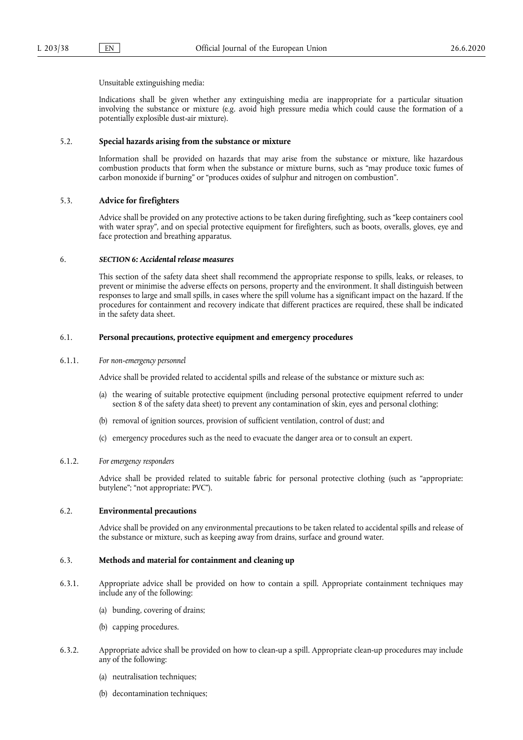Unsuitable extinguishing media:

Indications shall be given whether any extinguishing media are inappropriate for a particular situation involving the substance or mixture (e.g. avoid high pressure media which could cause the formation of a potentially explosible dust-air mixture).

## 5.2. **Special hazards arising from the substance or mixture**

Information shall be provided on hazards that may arise from the substance or mixture, like hazardous combustion products that form when the substance or mixture burns, such as "may produce toxic fumes of carbon monoxide if burning" or "produces oxides of sulphur and nitrogen on combustion".

## 5.3. **Advice for firefighters**

Advice shall be provided on any protective actions to be taken during firefighting, such as "keep containers cool with water spray", and on special protective equipment for firefighters, such as boots, overalls, gloves, eye and face protection and breathing apparatus.

#### 6. *SECTION 6: Accidental release measures*

This section of the safety data sheet shall recommend the appropriate response to spills, leaks, or releases, to prevent or minimise the adverse effects on persons, property and the environment. It shall distinguish between responses to large and small spills, in cases where the spill volume has a significant impact on the hazard. If the procedures for containment and recovery indicate that different practices are required, these shall be indicated in the safety data sheet.

#### 6.1. **Personal precautions, protective equipment and emergency procedures**

#### 6.1.1. *For non-emergency personnel*

Advice shall be provided related to accidental spills and release of the substance or mixture such as:

- (a) the wearing of suitable protective equipment (including personal protective equipment referred to under section 8 of the safety data sheet) to prevent any contamination of skin, eyes and personal clothing;
- (b) removal of ignition sources, provision of sufficient ventilation, control of dust; and
- (c) emergency procedures such as the need to evacuate the danger area or to consult an expert.

#### 6.1.2. *For emergency responders*

Advice shall be provided related to suitable fabric for personal protective clothing (such as "appropriate: butylene"; "not appropriate: PVC").

### 6.2. **Environmental precautions**

Advice shall be provided on any environmental precautions to be taken related to accidental spills and release of the substance or mixture, such as keeping away from drains, surface and ground water.

### 6.3. **Methods and material for containment and cleaning up**

- 6.3.1. Appropriate advice shall be provided on how to contain a spill. Appropriate containment techniques may include any of the following:
	- (a) bunding, covering of drains;
	- (b) capping procedures.
- 6.3.2. Appropriate advice shall be provided on how to clean-up a spill. Appropriate clean-up procedures may include any of the following:
	- (a) neutralisation techniques;
	- (b) decontamination techniques;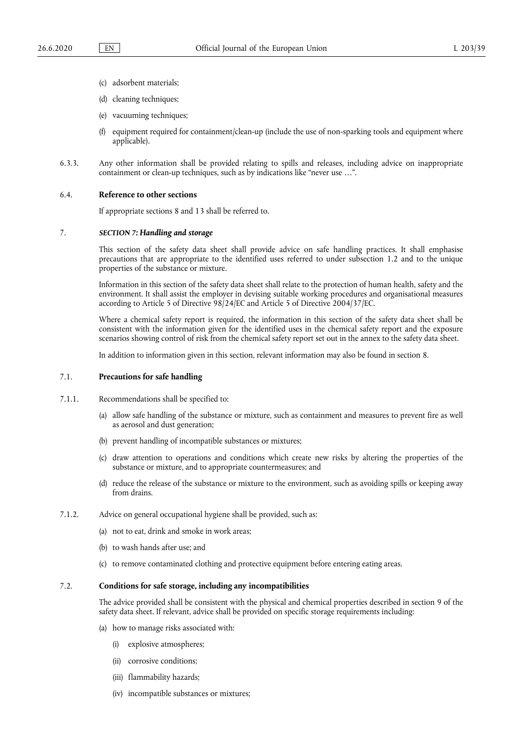- (c) adsorbent materials;
- (d) cleaning techniques;
- (e) vacuuming techniques;
- (f) equipment required for containment/clean-up (include the use of non-sparking tools and equipment where applicable).
- 6.3.3. Any other information shall be provided relating to spills and releases, including advice on inappropriate containment or clean-up techniques, such as by indications like "never use …".

#### 6.4. **Reference to other sections**

If appropriate sections 8 and 13 shall be referred to.

### 7. *SECTION 7: Handling and storage*

This section of the safety data sheet shall provide advice on safe handling practices. It shall emphasise precautions that are appropriate to the identified uses referred to under subsection 1.2 and to the unique properties of the substance or mixture.

Information in this section of the safety data sheet shall relate to the protection of human health, safety and the environment. It shall assist the employer in devising suitable working procedures and organisational measures according to Article 5 of Directive 98/24/EC and Article 5 of Directive 2004/37/EC.

Where a chemical safety report is required, the information in this section of the safety data sheet shall be consistent with the information given for the identified uses in the chemical safety report and the exposure scenarios showing control of risk from the chemical safety report set out in the annex to the safety data sheet.

In addition to information given in this section, relevant information may also be found in section 8.

#### 7.1. **Precautions for safe handling**

- 7.1.1. Recommendations shall be specified to:
	- (a) allow safe handling of the substance or mixture, such as containment and measures to prevent fire as well as aerosol and dust generation;
	- (b) prevent handling of incompatible substances or mixtures;
	- (c) draw attention to operations and conditions which create new risks by altering the properties of the substance or mixture, and to appropriate countermeasures; and
	- (d) reduce the release of the substance or mixture to the environment, such as avoiding spills or keeping away from drains.
- 7.1.2. Advice on general occupational hygiene shall be provided, such as:
	- (a) not to eat, drink and smoke in work areas;
	- (b) to wash hands after use; and
	- (c) to remove contaminated clothing and protective equipment before entering eating areas.

## 7.2. **Conditions for safe storage, including any incompatibilities**

The advice provided shall be consistent with the physical and chemical properties described in section 9 of the safety data sheet. If relevant, advice shall be provided on specific storage requirements including:

- (a) how to manage risks associated with:
	- (i) explosive atmospheres;
	- (ii) corrosive conditions;
	- (iii) flammability hazards;
	- (iv) incompatible substances or mixtures;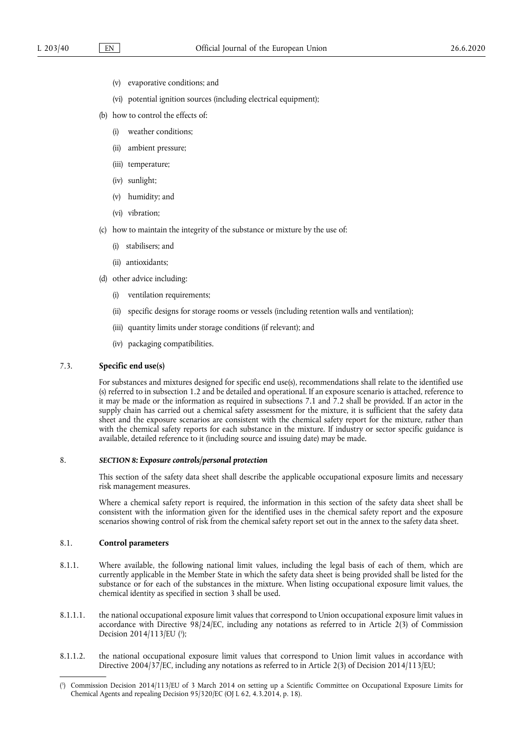- (v) evaporative conditions; and
- (vi) potential ignition sources (including electrical equipment);
- (b) how to control the effects of:
	- (i) weather conditions;
	- (ii) ambient pressure;
	- (iii) temperature;
	- (iv) sunlight;
	- (v) humidity; and
	- (vi) vibration;
- (c) how to maintain the integrity of the substance or mixture by the use of:
	- (i) stabilisers; and
	- (ii) antioxidants;
- (d) other advice including:
	- (i) ventilation requirements;
	- (ii) specific designs for storage rooms or vessels (including retention walls and ventilation);
	- (iii) quantity limits under storage conditions (if relevant); and
	- (iv) packaging compatibilities.

### 7.3. **Specific end use(s)**

For substances and mixtures designed for specific end use(s), recommendations shall relate to the identified use (s) referred to in subsection 1.2 and be detailed and operational. If an exposure scenario is attached, reference to it may be made or the information as required in subsections 7.1 and 7.2 shall be provided. If an actor in the supply chain has carried out a chemical safety assessment for the mixture, it is sufficient that the safety data sheet and the exposure scenarios are consistent with the chemical safety report for the mixture, rather than with the chemical safety reports for each substance in the mixture. If industry or sector specific guidance is available, detailed reference to it (including source and issuing date) may be made.

### 8. *SECTION 8: Exposure controls/personal protection*

This section of the safety data sheet shall describe the applicable occupational exposure limits and necessary risk management measures.

Where a chemical safety report is required, the information in this section of the safety data sheet shall be consistent with the information given for the identified uses in the chemical safety report and the exposure scenarios showing control of risk from the chemical safety report set out in the annex to the safety data sheet.

## 8.1. **Control parameters**

- 8.1.1. Where available, the following national limit values, including the legal basis of each of them, which are currently applicable in the Member State in which the safety data sheet is being provided shall be listed for the substance or for each of the substances in the mixture. When listing occupational exposure limit values, the chemical identity as specified in section 3 shall be used.
- <span id="page-12-1"></span>8.1.1.1. the national occupational exposure limit values that correspond to Union occupational exposure limit values in accordance with Directive 98/24/EC, including any notations as referred to in Article 2(3) of Commission Decision 2014/113/EU [\(](#page-12-0)<sup>5</sup>);
- 8.1.1.2. the national occupational exposure limit values that correspond to Union limit values in accordance with Directive 2004/37/EC, including any notations as referred to in Article 2(3) of Decision 2014/113/EU;

<span id="page-12-0"></span>[<sup>\(</sup>](#page-12-1) 5 ) Commission Decision 2014/113/EU of 3 March 2014 on setting up a Scientific Committee on Occupational Exposure Limits for Chemical Agents and repealing Decision 95/320/EC (OJ L 62, 4.3.2014, p. 18).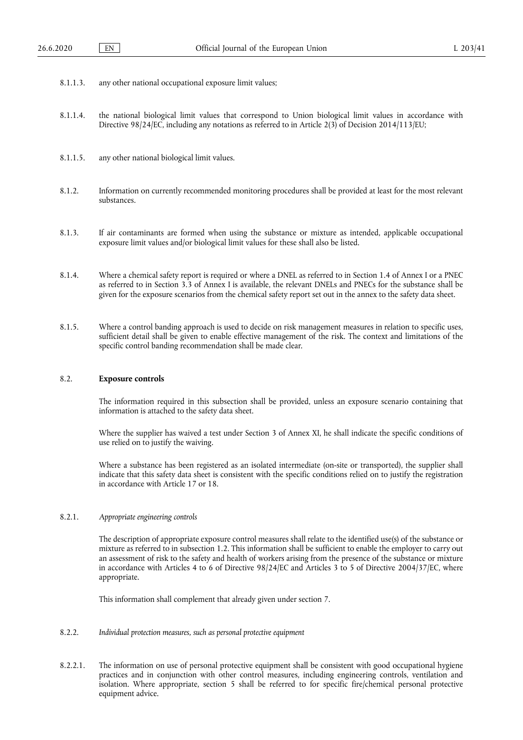- 8.1.1.3. any other national occupational exposure limit values;
- 8.1.1.4. the national biological limit values that correspond to Union biological limit values in accordance with Directive 98/24/EC, including any notations as referred to in Article 2(3) of Decision 2014/113/EU;
- 8.1.1.5. any other national biological limit values.
- 8.1.2. Information on currently recommended monitoring procedures shall be provided at least for the most relevant substances.
- 8.1.3. If air contaminants are formed when using the substance or mixture as intended, applicable occupational exposure limit values and/or biological limit values for these shall also be listed.
- 8.1.4. Where a chemical safety report is required or where a DNEL as referred to in Section 1.4 of Annex I or a PNEC as referred to in Section 3.3 of Annex I is available, the relevant DNELs and PNECs for the substance shall be given for the exposure scenarios from the chemical safety report set out in the annex to the safety data sheet.
- 8.1.5. Where a control banding approach is used to decide on risk management measures in relation to specific uses, sufficient detail shall be given to enable effective management of the risk. The context and limitations of the specific control banding recommendation shall be made clear.

## 8.2. **Exposure controls**

The information required in this subsection shall be provided, unless an exposure scenario containing that information is attached to the safety data sheet.

Where the supplier has waived a test under Section 3 of Annex XI, he shall indicate the specific conditions of use relied on to justify the waiving.

Where a substance has been registered as an isolated intermediate (on-site or transported), the supplier shall indicate that this safety data sheet is consistent with the specific conditions relied on to justify the registration in accordance with Article 17 or 18.

#### 8.2.1. *Appropriate engineering controls*

The description of appropriate exposure control measures shall relate to the identified use(s) of the substance or mixture as referred to in subsection 1.2. This information shall be sufficient to enable the employer to carry out an assessment of risk to the safety and health of workers arising from the presence of the substance or mixture in accordance with Articles 4 to 6 of Directive 98/24/EC and Articles 3 to 5 of Directive 2004/37/EC, where appropriate.

This information shall complement that already given under section 7.

- 8.2.2. *Individual protection measures, such as personal protective equipment*
- 8.2.2.1. The information on use of personal protective equipment shall be consistent with good occupational hygiene practices and in conjunction with other control measures, including engineering controls, ventilation and isolation. Where appropriate, section 5 shall be referred to for specific fire/chemical personal protective equipment advice.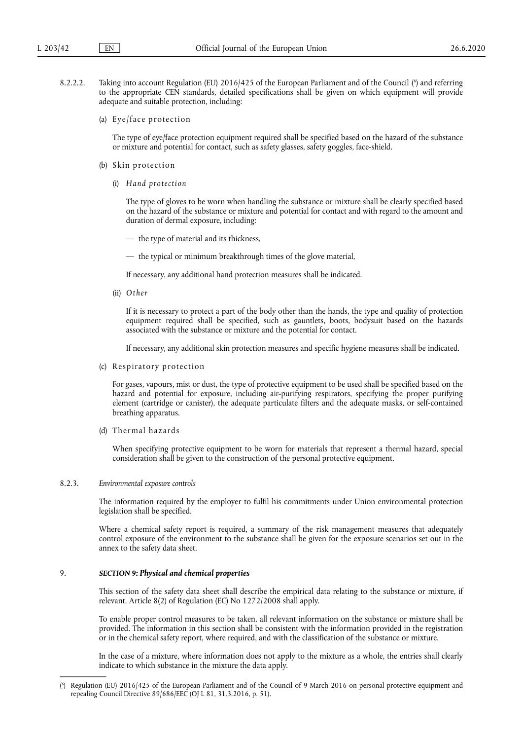- <span id="page-14-1"></span>8.2.2.2. Taking into account Regulation [\(](#page-14-0)EU) 2016/425 of the European Parliament and of the Council (<sup>6</sup>) and referring to the appropriate CEN standards, detailed specifications shall be given on which equipment will provide adequate and suitable protection, including:
	- (a) Eye/face protection

The type of eye/face protection equipment required shall be specified based on the hazard of the substance or mixture and potential for contact, such as safety glasses, safety goggles, face-shield.

- (b) Skin protection
	- (i) *Hand protection*

The type of gloves to be worn when handling the substance or mixture shall be clearly specified based on the hazard of the substance or mixture and potential for contact and with regard to the amount and duration of dermal exposure, including:

— the type of material and its thickness,

— the typical or minimum breakthrough times of the glove material,

If necessary, any additional hand protection measures shall be indicated.

(ii) *Other* 

If it is necessary to protect a part of the body other than the hands, the type and quality of protection equipment required shall be specified, such as gauntlets, boots, bodysuit based on the hazards associated with the substance or mixture and the potential for contact.

If necessary, any additional skin protection measures and specific hygiene measures shall be indicated.

(c) Respiratory protection

For gases, vapours, mist or dust, the type of protective equipment to be used shall be specified based on the hazard and potential for exposure, including air-purifying respirators, specifying the proper purifying element (cartridge or canister), the adequate particulate filters and the adequate masks, or self-contained breathing apparatus.

(d) Thermal hazards

When specifying protective equipment to be worn for materials that represent a thermal hazard, special consideration shall be given to the construction of the personal protective equipment.

### 8.2.3. *Environmental exposure controls*

The information required by the employer to fulfil his commitments under Union environmental protection legislation shall be specified.

Where a chemical safety report is required, a summary of the risk management measures that adequately control exposure of the environment to the substance shall be given for the exposure scenarios set out in the annex to the safety data sheet.

## 9. *SECTION 9: Physical and chemical properties*

This section of the safety data sheet shall describe the empirical data relating to the substance or mixture, if relevant. Article 8(2) of Regulation (EC) No 1272/2008 shall apply.

To enable proper control measures to be taken, all relevant information on the substance or mixture shall be provided. The information in this section shall be consistent with the information provided in the registration or in the chemical safety report, where required, and with the classification of the substance or mixture.

In the case of a mixture, where information does not apply to the mixture as a whole, the entries shall clearly indicate to which substance in the mixture the data apply.

<span id="page-14-0"></span>[<sup>\(</sup>](#page-14-1) 6 ) Regulation (EU) 2016/425 of the European Parliament and of the Council of 9 March 2016 on personal protective equipment and repealing Council Directive 89/686/EEC (OJ L 81, 31.3.2016, p. 51).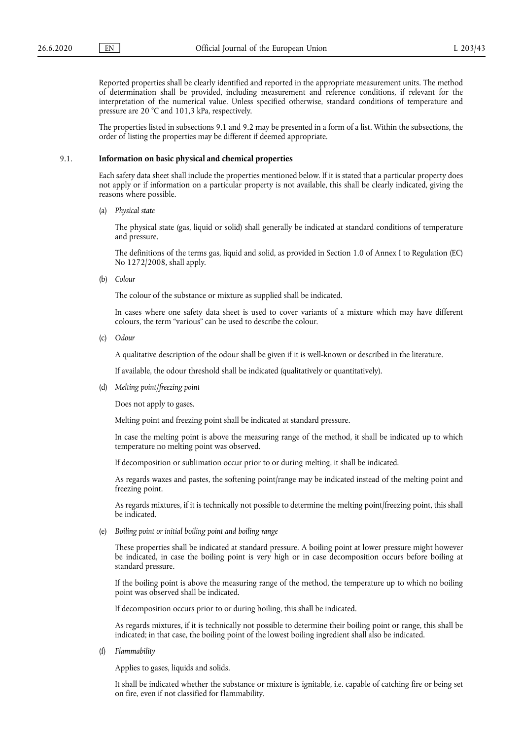Reported properties shall be clearly identified and reported in the appropriate measurement units. The method of determination shall be provided, including measurement and reference conditions, if relevant for the interpretation of the numerical value. Unless specified otherwise, standard conditions of temperature and pressure are 20 °C and 101,3 kPa, respectively.

The properties listed in subsections 9.1 and 9.2 may be presented in a form of a list. Within the subsections, the order of listing the properties may be different if deemed appropriate.

## 9.1. **Information on basic physical and chemical properties**

Each safety data sheet shall include the properties mentioned below. If it is stated that a particular property does not apply or if information on a particular property is not available, this shall be clearly indicated, giving the reasons where possible.

(a) *Physical state* 

The physical state (gas, liquid or solid) shall generally be indicated at standard conditions of temperature and pressure.

The definitions of the terms gas, liquid and solid, as provided in Section 1.0 of Annex I to Regulation (EC) No 1272/2008, shall apply.

(b) *Colour* 

The colour of the substance or mixture as supplied shall be indicated.

In cases where one safety data sheet is used to cover variants of a mixture which may have different colours, the term "various" can be used to describe the colour.

(c) *Odour* 

A qualitative description of the odour shall be given if it is well-known or described in the literature.

If available, the odour threshold shall be indicated (qualitatively or quantitatively).

(d) *Melting point/freezing point* 

Does not apply to gases.

Melting point and freezing point shall be indicated at standard pressure.

In case the melting point is above the measuring range of the method, it shall be indicated up to which temperature no melting point was observed.

If decomposition or sublimation occur prior to or during melting, it shall be indicated.

As regards waxes and pastes, the softening point/range may be indicated instead of the melting point and freezing point.

As regards mixtures, if it is technically not possible to determine the melting point/freezing point, this shall be indicated.

(e) *Boiling point or initial boiling point and boiling range* 

These properties shall be indicated at standard pressure. A boiling point at lower pressure might however be indicated, in case the boiling point is very high or in case decomposition occurs before boiling at standard pressure.

If the boiling point is above the measuring range of the method, the temperature up to which no boiling point was observed shall be indicated.

If decomposition occurs prior to or during boiling, this shall be indicated.

As regards mixtures, if it is technically not possible to determine their boiling point or range, this shall be indicated; in that case, the boiling point of the lowest boiling ingredient shall also be indicated.

(f) *Flammability* 

Applies to gases, liquids and solids.

It shall be indicated whether the substance or mixture is ignitable, i.e. capable of catching fire or being set on fire, even if not classified for flammability.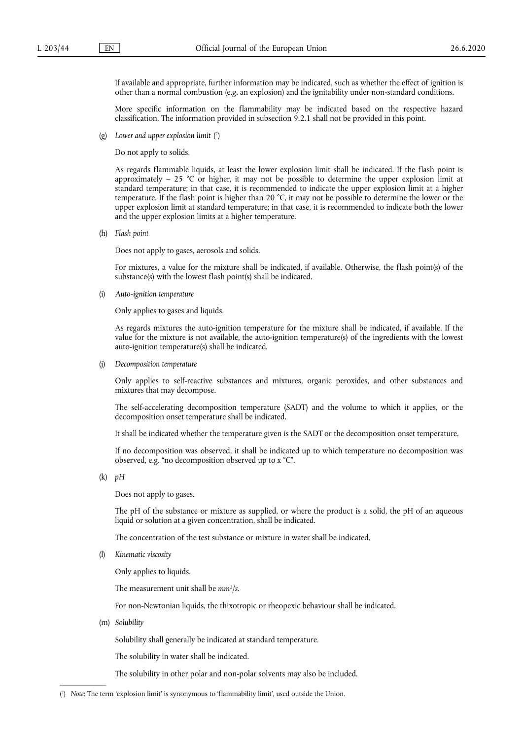If available and appropriate, further information may be indicated, such as whether the effect of ignition is other than a normal combustion (e.g. an explosion) and the ignitability under non-standard conditions.

More specific information on the flammability may be indicated based on the respective hazard classification. The information provided in subsection 9.2.1 shall not be provided in this point.

<span id="page-16-1"></span>(g) *Lower and upper explosion limit* ( 7 [\)](#page-16-0) 

Do not apply to solids.

As regards flammable liquids, at least the lower explosion limit shall be indicated. If the flash point is approximately  $-25$  °C or higher, it may not be possible to determine the upper explosion limit at standard temperature; in that case, it is recommended to indicate the upper explosion limit at a higher temperature. If the flash point is higher than 20 °C, it may not be possible to determine the lower or the upper explosion limit at standard temperature; in that case, it is recommended to indicate both the lower and the upper explosion limits at a higher temperature.

(h) *Flash point* 

Does not apply to gases, aerosols and solids.

For mixtures, a value for the mixture shall be indicated, if available. Otherwise, the flash point(s) of the substance(s) with the lowest flash point(s) shall be indicated.

(i) *Auto-ignition temperature* 

Only applies to gases and liquids.

As regards mixtures the auto-ignition temperature for the mixture shall be indicated, if available. If the value for the mixture is not available, the auto-ignition temperature(s) of the ingredients with the lowest auto-ignition temperature(s) shall be indicated.

(j) *Decomposition temperature* 

Only applies to self-reactive substances and mixtures, organic peroxides, and other substances and mixtures that may decompose.

The self-accelerating decomposition temperature (SADT) and the volume to which it applies, or the decomposition onset temperature shall be indicated.

It shall be indicated whether the temperature given is the SADT or the decomposition onset temperature.

If no decomposition was observed, it shall be indicated up to which temperature no decomposition was observed, e.g. "no decomposition observed up to x °C".

(k) *pH* 

Does not apply to gases.

The pH of the substance or mixture as supplied, or where the product is a solid, the pH of an aqueous liquid or solution at a given concentration, shall be indicated.

The concentration of the test substance or mixture in water shall be indicated.

(l) *Kinematic viscosity* 

Only applies to liquids.

The measurement unit shall be *mm2 /s*.

For non-Newtonian liquids, the thixotropic or rheopexic behaviour shall be indicated.

(m) *Solubility* 

Solubility shall generally be indicated at standard temperature.

The solubility in water shall be indicated.

The solubility in other polar and non-polar solvents may also be included.

<span id="page-16-0"></span>[\(](#page-16-1) 7 ) *Note*: The term 'explosion limit' is synonymous to 'flammability limit', used outside the Union.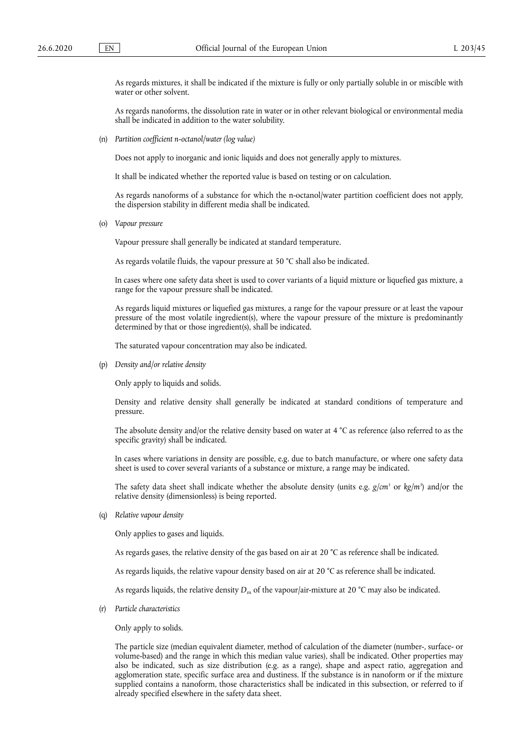As regards mixtures, it shall be indicated if the mixture is fully or only partially soluble in or miscible with water or other solvent.

As regards nanoforms, the dissolution rate in water or in other relevant biological or environmental media shall be indicated in addition to the water solubility.

(n) *Partition coefficient n-octanol/water (log value)* 

Does not apply to inorganic and ionic liquids and does not generally apply to mixtures.

It shall be indicated whether the reported value is based on testing or on calculation.

As regards nanoforms of a substance for which the n-octanol/water partition coefficient does not apply, the dispersion stability in different media shall be indicated.

(o) *Vapour pressure* 

Vapour pressure shall generally be indicated at standard temperature.

As regards volatile fluids, the vapour pressure at 50 °C shall also be indicated.

In cases where one safety data sheet is used to cover variants of a liquid mixture or liquefied gas mixture, a range for the vapour pressure shall be indicated.

As regards liquid mixtures or liquefied gas mixtures, a range for the vapour pressure or at least the vapour pressure of the most volatile ingredient(s), where the vapour pressure of the mixture is predominantly determined by that or those ingredient(s), shall be indicated.

The saturated vapour concentration may also be indicated.

(p) *Density and/or relative density* 

Only apply to liquids and solids.

Density and relative density shall generally be indicated at standard conditions of temperature and pressure.

The absolute density and/or the relative density based on water at 4 °C as reference (also referred to as the specific gravity) shall be indicated.

In cases where variations in density are possible, e.g. due to batch manufacture, or where one safety data sheet is used to cover several variants of a substance or mixture, a range may be indicated.

The safety data sheet shall indicate whether the absolute density (units e.g. *g/cm3* or *kg/m3* ) and/or the relative density (dimensionless) is being reported.

(q) *Relative vapour density* 

Only applies to gases and liquids.

As regards gases, the relative density of the gas based on air at 20 °C as reference shall be indicated.

As regards liquids, the relative vapour density based on air at 20 °C as reference shall be indicated.

As regards liquids, the relative density  $D_m$  of the vapour/air-mixture at 20 °C may also be indicated.

(r) *Particle characteristics* 

Only apply to solids.

The particle size (median equivalent diameter, method of calculation of the diameter (number-, surface- or volume-based) and the range in which this median value varies), shall be indicated. Other properties may also be indicated, such as size distribution (e.g. as a range), shape and aspect ratio, aggregation and agglomeration state, specific surface area and dustiness. If the substance is in nanoform or if the mixture supplied contains a nanoform, those characteristics shall be indicated in this subsection, or referred to if already specified elsewhere in the safety data sheet.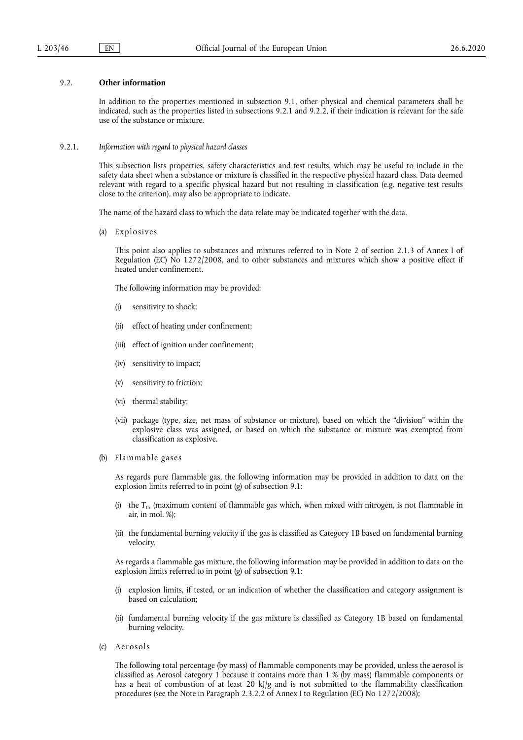## 9.2. **Other information**

In addition to the properties mentioned in subsection 9.1, other physical and chemical parameters shall be indicated, such as the properties listed in subsections 9.2.1 and 9.2.2, if their indication is relevant for the safe use of the substance or mixture.

9.2.1. *Information with regard to physical hazard classes* 

This subsection lists properties, safety characteristics and test results, which may be useful to include in the safety data sheet when a substance or mixture is classified in the respective physical hazard class. Data deemed relevant with regard to a specific physical hazard but not resulting in classification (e.g. negative test results close to the criterion), may also be appropriate to indicate.

The name of the hazard class to which the data relate may be indicated together with the data.

(a) Explosives

This point also applies to substances and mixtures referred to in Note 2 of section 2.1.3 of Annex I of Regulation (EC) No 1272/2008, and to other substances and mixtures which show a positive effect if heated under confinement.

The following information may be provided:

- (i) sensitivity to shock;
- (ii) effect of heating under confinement;
- (iii) effect of ignition under confinement;
- (iv) sensitivity to impact;
- (v) sensitivity to friction;
- (vi) thermal stability;
- (vii) package (type, size, net mass of substance or mixture), based on which the "division" within the explosive class was assigned, or based on which the substance or mixture was exempted from classification as explosive.
- (b) Flammable gases

As regards pure flammable gas, the following information may be provided in addition to data on the explosion limits referred to in point (g) of subsection 9.1:

- (i) the  $T_{\text{C}i}$  (maximum content of flammable gas which, when mixed with nitrogen, is not flammable in air, in mol. %);
- (ii) the fundamental burning velocity if the gas is classified as Category 1B based on fundamental burning velocity.

As regards a flammable gas mixture, the following information may be provided in addition to data on the explosion limits referred to in point (g) of subsection 9.1:

- (i) explosion limits, if tested, or an indication of whether the classification and category assignment is based on calculation;
- (ii) fundamental burning velocity if the gas mixture is classified as Category 1B based on fundamental burning velocity.
- (c) Aerosols

The following total percentage (by mass) of flammable components may be provided, unless the aerosol is classified as Aerosol category 1 because it contains more than 1 % (by mass) flammable components or has a heat of combustion of at least 20 kJ/g and is not submitted to the flammability classification procedures (see the Note in Paragraph 2.3.2.2 of Annex I to Regulation (EC) No 1272/2008);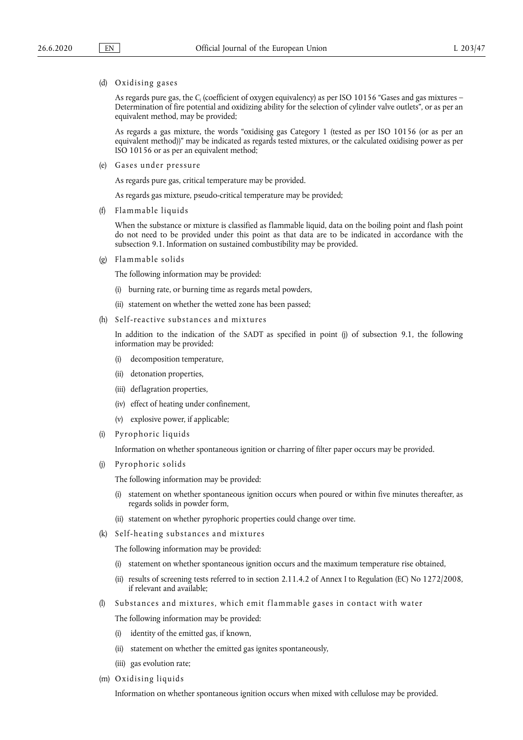#### (d) Oxidising gases

As regards pure gas, the *C*i (coefficient of oxygen equivalency) as per ISO 10156 "Gases and gas mixtures – Determination of fire potential and oxidizing ability for the selection of cylinder valve outlets", or as per an equivalent method, may be provided;

As regards a gas mixture, the words "oxidising gas Category 1 (tested as per ISO 10156 (or as per an equivalent method))" may be indicated as regards tested mixtures, or the calculated oxidising power as per ISO 10156 or as per an equivalent method;

(e) Gases under pressure

As regards pure gas, critical temperature may be provided.

As regards gas mixture, pseudo-critical temperature may be provided;

(f) Flammable liquids

When the substance or mixture is classified as flammable liquid, data on the boiling point and flash point do not need to be provided under this point as that data are to be indicated in accordance with the subsection 9.1. Information on sustained combustibility may be provided.

(g) Flammable solids

The following information may be provided:

- (i) burning rate, or burning time as regards metal powders,
- (ii) statement on whether the wetted zone has been passed;
- (h) Self-reactive substances and mixtures

In addition to the indication of the SADT as specified in point (j) of subsection 9.1, the following information may be provided:

- (i) decomposition temperature,
- (ii) detonation properties,
- (iii) deflagration properties,
- (iv) effect of heating under confinement,
- (v) explosive power, if applicable;
- (i) Pyrophoric liquids

Information on whether spontaneous ignition or charring of filter paper occurs may be provided.

(j) Pyrophoric solids

The following information may be provided:

- (i) statement on whether spontaneous ignition occurs when poured or within five minutes thereafter, as regards solids in powder form,
- (ii) statement on whether pyrophoric properties could change over time.
- (k) Self-heating substances and mixtures

The following information may be provided:

- (i) statement on whether spontaneous ignition occurs and the maximum temperature rise obtained,
- (ii) results of screening tests referred to in section 2.11.4.2 of Annex I to Regulation (EC) No 1272/2008, if relevant and available;
- (l) Substances and mixtures, which emit f lammable gases in contact with water

The following information may be provided:

- (i) identity of the emitted gas, if known,
- (ii) statement on whether the emitted gas ignites spontaneously,
- (iii) gas evolution rate;
- (m) Oxidising liquids

Information on whether spontaneous ignition occurs when mixed with cellulose may be provided.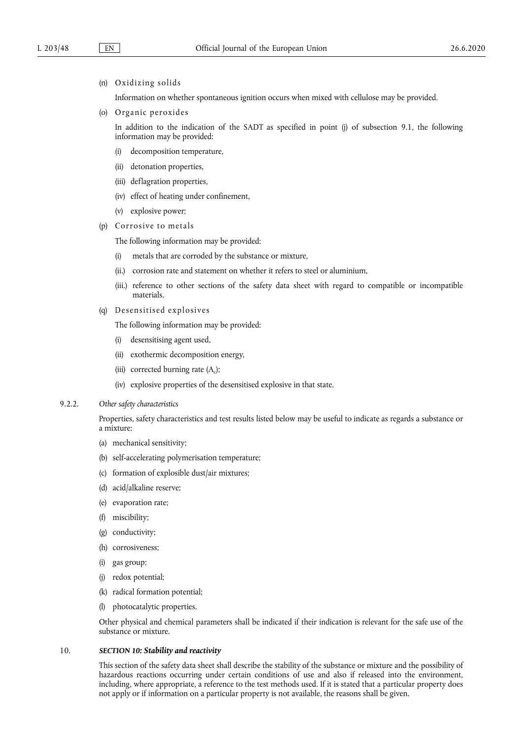### (n) Oxidizing solids

Information on whether spontaneous ignition occurs when mixed with cellulose may be provided.

(o) Organic peroxides

In addition to the indication of the SADT as specified in point (j) of subsection 9.1, the following information may be provided:

- (i) decomposition temperature,
- (ii) detonation properties,
- (iii) deflagration properties,
- (iv) effect of heating under confinement,
- (v) explosive power;
- (p) Corrosive to metals

The following information may be provided:

- (i) metals that are corroded by the substance or mixture,
- (ii.) corrosion rate and statement on whether it refers to steel or aluminium,
- (iii.) reference to other sections of the safety data sheet with regard to compatible or incompatible materials.
- (q) Desensitised explosives

The following information may be provided:

- (i) desensitising agent used,
- (ii) exothermic decomposition energy,
- (iii) corrected burning rate  $(A<sub>c</sub>)$ ;
- (iv) explosive properties of the desensitised explosive in that state.

### 9.2.2. *Other safety characteristics*

Properties, safety characteristics and test results listed below may be useful to indicate as regards a substance or a mixture:

- (a) mechanical sensitivity;
- (b) self-accelerating polymerisation temperature;
- (c) formation of explosible dust/air mixtures;
- (d) acid/alkaline reserve;
- (e) evaporation rate;
- (f) miscibility;
- (g) conductivity;
- (h) corrosiveness;
- (i) gas group;
- (j) redox potential;
- (k) radical formation potential;
- (l) photocatalytic properties.

Other physical and chemical parameters shall be indicated if their indication is relevant for the safe use of the substance or mixture.

## 10. *SECTION 10: Stability and reactivity*

This section of the safety data sheet shall describe the stability of the substance or mixture and the possibility of hazardous reactions occurring under certain conditions of use and also if released into the environment, including, where appropriate, a reference to the test methods used. If it is stated that a particular property does not apply or if information on a particular property is not available, the reasons shall be given.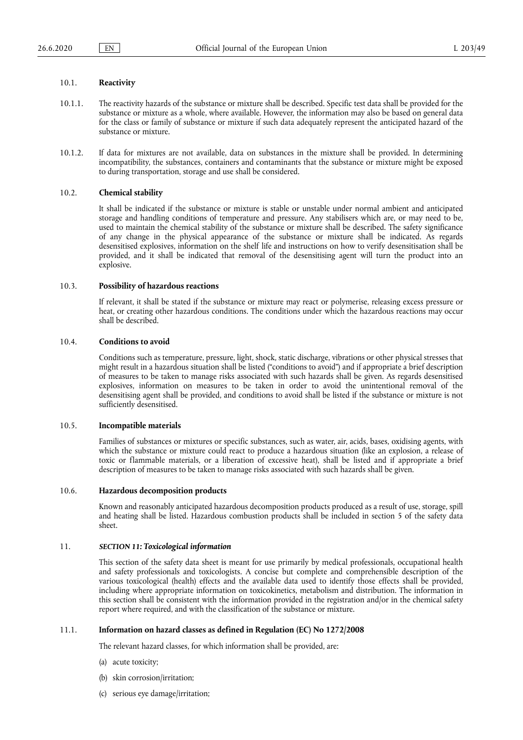## 10.1. **Reactivity**

- 10.1.1. The reactivity hazards of the substance or mixture shall be described. Specific test data shall be provided for the substance or mixture as a whole, where available. However, the information may also be based on general data for the class or family of substance or mixture if such data adequately represent the anticipated hazard of the substance or mixture.
- 10.1.2. If data for mixtures are not available, data on substances in the mixture shall be provided. In determining incompatibility, the substances, containers and contaminants that the substance or mixture might be exposed to during transportation, storage and use shall be considered.

### 10.2. **Chemical stability**

It shall be indicated if the substance or mixture is stable or unstable under normal ambient and anticipated storage and handling conditions of temperature and pressure. Any stabilisers which are, or may need to be, used to maintain the chemical stability of the substance or mixture shall be described. The safety significance of any change in the physical appearance of the substance or mixture shall be indicated. As regards desensitised explosives, information on the shelf life and instructions on how to verify desensitisation shall be provided, and it shall be indicated that removal of the desensitising agent will turn the product into an explosive.

### 10.3. **Possibility of hazardous reactions**

If relevant, it shall be stated if the substance or mixture may react or polymerise, releasing excess pressure or heat, or creating other hazardous conditions. The conditions under which the hazardous reactions may occur shall be described.

## 10.4. **Conditions to avoid**

Conditions such as temperature, pressure, light, shock, static discharge, vibrations or other physical stresses that might result in a hazardous situation shall be listed ("conditions to avoid") and if appropriate a brief description of measures to be taken to manage risks associated with such hazards shall be given. As regards desensitised explosives, information on measures to be taken in order to avoid the unintentional removal of the desensitising agent shall be provided, and conditions to avoid shall be listed if the substance or mixture is not sufficiently desensitised.

#### 10.5. **Incompatible materials**

Families of substances or mixtures or specific substances, such as water, air, acids, bases, oxidising agents, with which the substance or mixture could react to produce a hazardous situation (like an explosion, a release of toxic or flammable materials, or a liberation of excessive heat), shall be listed and if appropriate a brief description of measures to be taken to manage risks associated with such hazards shall be given.

#### 10.6. **Hazardous decomposition products**

Known and reasonably anticipated hazardous decomposition products produced as a result of use, storage, spill and heating shall be listed. Hazardous combustion products shall be included in section 5 of the safety data sheet.

## 11. *SECTION 11: Toxicological information*

This section of the safety data sheet is meant for use primarily by medical professionals, occupational health and safety professionals and toxicologists. A concise but complete and comprehensible description of the various toxicological (health) effects and the available data used to identify those effects shall be provided, including where appropriate information on toxicokinetics, metabolism and distribution. The information in this section shall be consistent with the information provided in the registration and/or in the chemical safety report where required, and with the classification of the substance or mixture.

## 11.1. **Information on hazard classes as defined in Regulation (EC) No 1272/2008**

The relevant hazard classes, for which information shall be provided, are:

- (a) acute toxicity;
- (b) skin corrosion/irritation;
- (c) serious eye damage/irritation;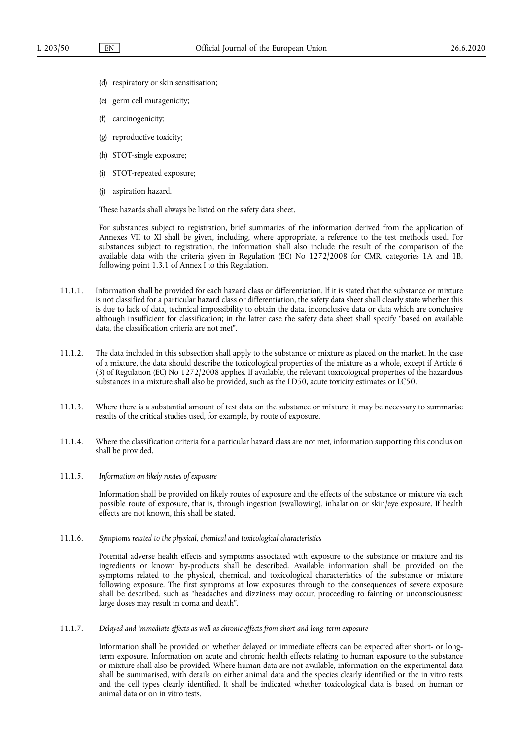- (d) respiratory or skin sensitisation;
- (e) germ cell mutagenicity;
- (f) carcinogenicity;
- (g) reproductive toxicity;
- (h) STOT-single exposure;
- (i) STOT-repeated exposure;
- (j) aspiration hazard.

These hazards shall always be listed on the safety data sheet.

For substances subject to registration, brief summaries of the information derived from the application of Annexes VII to XI shall be given, including, where appropriate, a reference to the test methods used. For substances subject to registration, the information shall also include the result of the comparison of the available data with the criteria given in Regulation (EC) No 1272/2008 for CMR, categories 1A and 1B, following point 1.3.1 of Annex I to this Regulation.

- 11.1.1. Information shall be provided for each hazard class or differentiation. If it is stated that the substance or mixture is not classified for a particular hazard class or differentiation, the safety data sheet shall clearly state whether this is due to lack of data, technical impossibility to obtain the data, inconclusive data or data which are conclusive although insufficient for classification; in the latter case the safety data sheet shall specify "based on available data, the classification criteria are not met".
- 11.1.2. The data included in this subsection shall apply to the substance or mixture as placed on the market. In the case of a mixture, the data should describe the toxicological properties of the mixture as a whole, except if Article 6 (3) of Regulation (EC) No 1272/2008 applies. If available, the relevant toxicological properties of the hazardous substances in a mixture shall also be provided, such as the LD50, acute toxicity estimates or LC50.
- 11.1.3. Where there is a substantial amount of test data on the substance or mixture, it may be necessary to summarise results of the critical studies used, for example, by route of exposure.
- 11.1.4. Where the classification criteria for a particular hazard class are not met, information supporting this conclusion shall be provided.
- 11.1.5. *Information on likely routes of exposure*

Information shall be provided on likely routes of exposure and the effects of the substance or mixture via each possible route of exposure, that is, through ingestion (swallowing), inhalation or skin/eye exposure. If health effects are not known, this shall be stated.

11.1.6. *Symptoms related to the physical, chemical and toxicological characteristics* 

Potential adverse health effects and symptoms associated with exposure to the substance or mixture and its ingredients or known by-products shall be described. Available information shall be provided on the symptoms related to the physical, chemical, and toxicological characteristics of the substance or mixture following exposure. The first symptoms at low exposures through to the consequences of severe exposure shall be described, such as "headaches and dizziness may occur, proceeding to fainting or unconsciousness; large doses may result in coma and death".

11.1.7. *Delayed and immediate effects as well as chronic effects from short and long-term exposure* 

Information shall be provided on whether delayed or immediate effects can be expected after short- or longterm exposure. Information on acute and chronic health effects relating to human exposure to the substance or mixture shall also be provided. Where human data are not available, information on the experimental data shall be summarised, with details on either animal data and the species clearly identified or the in vitro tests and the cell types clearly identified. It shall be indicated whether toxicological data is based on human or animal data or on in vitro tests.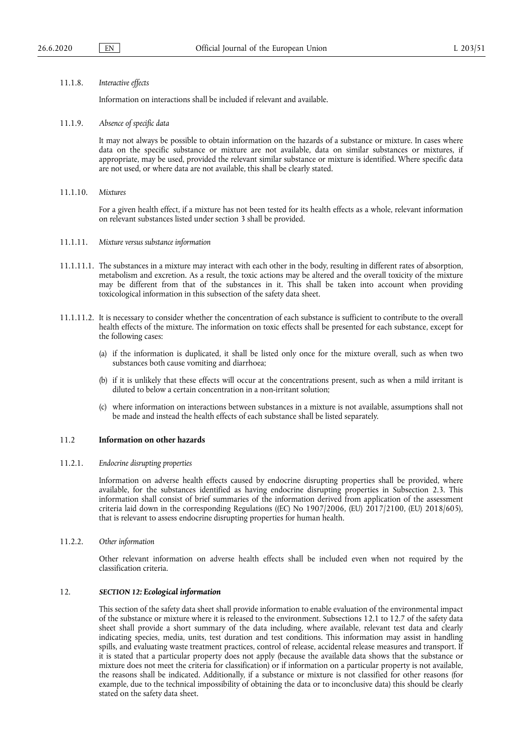#### 11.1.8. *Interactive effects*

Information on interactions shall be included if relevant and available.

11.1.9. *Absence of specific data* 

It may not always be possible to obtain information on the hazards of a substance or mixture. In cases where data on the specific substance or mixture are not available, data on similar substances or mixtures, if appropriate, may be used, provided the relevant similar substance or mixture is identified. Where specific data are not used, or where data are not available, this shall be clearly stated.

11.1.10. *Mixtures* 

For a given health effect, if a mixture has not been tested for its health effects as a whole, relevant information on relevant substances listed under section 3 shall be provided.

- 11.1.11. *Mixture versus substance information*
- 11.1.11.1. The substances in a mixture may interact with each other in the body, resulting in different rates of absorption, metabolism and excretion. As a result, the toxic actions may be altered and the overall toxicity of the mixture may be different from that of the substances in it. This shall be taken into account when providing toxicological information in this subsection of the safety data sheet.
- 11.1.11.2. It is necessary to consider whether the concentration of each substance is sufficient to contribute to the overall health effects of the mixture. The information on toxic effects shall be presented for each substance, except for the following cases:
	- (a) if the information is duplicated, it shall be listed only once for the mixture overall, such as when two substances both cause vomiting and diarrhoea;
	- (b) if it is unlikely that these effects will occur at the concentrations present, such as when a mild irritant is diluted to below a certain concentration in a non-irritant solution;
	- (c) where information on interactions between substances in a mixture is not available, assumptions shall not be made and instead the health effects of each substance shall be listed separately.

## 11.2 **Information on other hazards**

#### 11.2.1. *Endocrine disrupting properties*

Information on adverse health effects caused by endocrine disrupting properties shall be provided, where available, for the substances identified as having endocrine disrupting properties in Subsection 2.3. This information shall consist of brief summaries of the information derived from application of the assessment criteria laid down in the corresponding Regulations ((EC) No 1907/2006, (EU) 2017/2100, (EU) 2018/605), that is relevant to assess endocrine disrupting properties for human health.

11.2.2. *Other information* 

Other relevant information on adverse health effects shall be included even when not required by the classification criteria.

### 12. *SECTION 12: Ecological information*

This section of the safety data sheet shall provide information to enable evaluation of the environmental impact of the substance or mixture where it is released to the environment. Subsections 12.1 to 12.7 of the safety data sheet shall provide a short summary of the data including, where available, relevant test data and clearly indicating species, media, units, test duration and test conditions. This information may assist in handling spills, and evaluating waste treatment practices, control of release, accidental release measures and transport. If it is stated that a particular property does not apply (because the available data shows that the substance or mixture does not meet the criteria for classification) or if information on a particular property is not available, the reasons shall be indicated. Additionally, if a substance or mixture is not classified for other reasons (for example, due to the technical impossibility of obtaining the data or to inconclusive data) this should be clearly stated on the safety data sheet.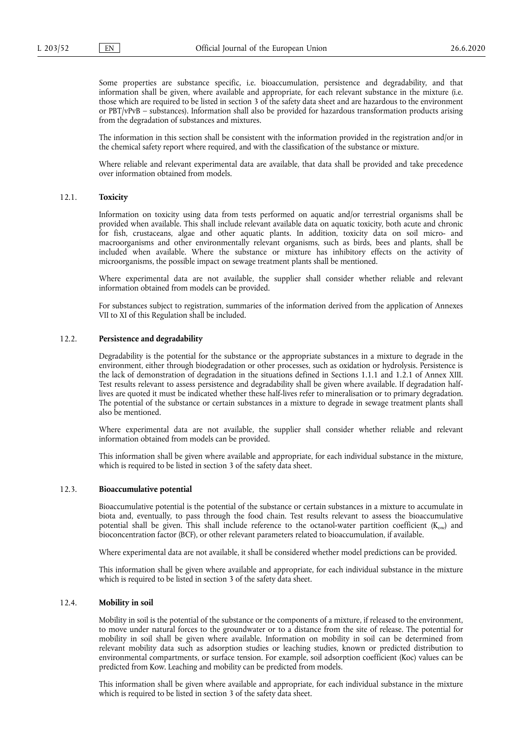Some properties are substance specific, i.e. bioaccumulation, persistence and degradability, and that information shall be given, where available and appropriate, for each relevant substance in the mixture (i.e. those which are required to be listed in section 3 of the safety data sheet and are hazardous to the environment or PBT/vPvB – substances). Information shall also be provided for hazardous transformation products arising from the degradation of substances and mixtures.

The information in this section shall be consistent with the information provided in the registration and/or in the chemical safety report where required, and with the classification of the substance or mixture.

Where reliable and relevant experimental data are available, that data shall be provided and take precedence over information obtained from models.

### 12.1. **Toxicity**

Information on toxicity using data from tests performed on aquatic and/or terrestrial organisms shall be provided when available. This shall include relevant available data on aquatic toxicity, both acute and chronic for fish, crustaceans, algae and other aquatic plants. In addition, toxicity data on soil micro- and macroorganisms and other environmentally relevant organisms, such as birds, bees and plants, shall be included when available. Where the substance or mixture has inhibitory effects on the activity of microorganisms, the possible impact on sewage treatment plants shall be mentioned.

Where experimental data are not available, the supplier shall consider whether reliable and relevant information obtained from models can be provided.

For substances subject to registration, summaries of the information derived from the application of Annexes VII to XI of this Regulation shall be included.

#### 12.2. **Persistence and degradability**

Degradability is the potential for the substance or the appropriate substances in a mixture to degrade in the environment, either through biodegradation or other processes, such as oxidation or hydrolysis. Persistence is the lack of demonstration of degradation in the situations defined in Sections 1.1.1 and 1.2.1 of Annex XIII. Test results relevant to assess persistence and degradability shall be given where available. If degradation halflives are quoted it must be indicated whether these half-lives refer to mineralisation or to primary degradation. The potential of the substance or certain substances in a mixture to degrade in sewage treatment plants shall also be mentioned.

Where experimental data are not available, the supplier shall consider whether reliable and relevant information obtained from models can be provided.

This information shall be given where available and appropriate, for each individual substance in the mixture, which is required to be listed in section 3 of the safety data sheet.

## 12.3. **Bioaccumulative potential**

Bioaccumulative potential is the potential of the substance or certain substances in a mixture to accumulate in biota and, eventually, to pass through the food chain. Test results relevant to assess the bioaccumulative potential shall be given. This shall include reference to the octanol-water partition coefficient  $(K_{ow})$  and bioconcentration factor (BCF), or other relevant parameters related to bioaccumulation, if available.

Where experimental data are not available, it shall be considered whether model predictions can be provided.

This information shall be given where available and appropriate, for each individual substance in the mixture which is required to be listed in section 3 of the safety data sheet.

### 12.4. **Mobility in soil**

Mobility in soil is the potential of the substance or the components of a mixture, if released to the environment, to move under natural forces to the groundwater or to a distance from the site of release. The potential for mobility in soil shall be given where available. Information on mobility in soil can be determined from relevant mobility data such as adsorption studies or leaching studies, known or predicted distribution to environmental compartments, or surface tension. For example, soil adsorption coefficient (Koc) values can be predicted from Kow. Leaching and mobility can be predicted from models.

This information shall be given where available and appropriate, for each individual substance in the mixture which is required to be listed in section 3 of the safety data sheet.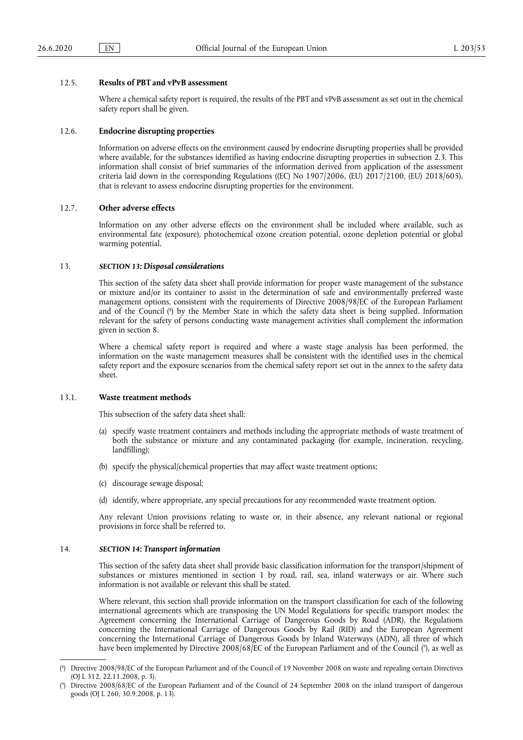### 12.5. **Results of PBT and vPvB assessment**

Where a chemical safety report is required, the results of the PBT and vPvB assessment as set out in the chemical safety report shall be given.

### 12.6. **Endocrine disrupting properties**

Information on adverse effects on the environment caused by endocrine disrupting properties shall be provided where available, for the substances identified as having endocrine disrupting properties in subsection 2.3. This information shall consist of brief summaries of the information derived from application of the assessment criteria laid down in the corresponding Regulations ((EC) No 1907/2006, (EU) 2017/2100, (EU) 2018/605), that is relevant to assess endocrine disrupting properties for the environment.

## 12.7. **Other adverse effects**

Information on any other adverse effects on the environment shall be included where available, such as environmental fate (exposure), photochemical ozone creation potential, ozone depletion potential or global warming potential.

#### 13. *SECTION 13: Disposal considerations*

<span id="page-25-2"></span>This section of the safety data sheet shall provide information for proper waste management of the substance or mixture and/or its container to assist in the determination of safe and environmentally preferred waste management options, consistent with the requirements of Directive 2008/98/EC of the European Parliament and of the Council ( 8 [\)](#page-25-0) by the Member State in which the safety data sheet is being supplied. Information relevant for the safety of persons conducting waste management activities shall complement the information given in section 8.

Where a chemical safety report is required and where a waste stage analysis has been performed, the information on the waste management measures shall be consistent with the identified uses in the chemical safety report and the exposure scenarios from the chemical safety report set out in the annex to the safety data sheet.

### 13.1. **Waste treatment methods**

This subsection of the safety data sheet shall:

- (a) specify waste treatment containers and methods including the appropriate methods of waste treatment of both the substance or mixture and any contaminated packaging (for example, incineration, recycling, landfilling);
- (b) specify the physical/chemical properties that may affect waste treatment options;
- (c) discourage sewage disposal;
- (d) identify, where appropriate, any special precautions for any recommended waste treatment option.

Any relevant Union provisions relating to waste or, in their absence, any relevant national or regional provisions in force shall be referred to.

#### 14. *SECTION 14: Transport information*

This section of the safety data sheet shall provide basic classification information for the transport/shipment of substances or mixtures mentioned in section 1 by road, rail, sea, inland waterways or air. Where such information is not available or relevant this shall be stated.

<span id="page-25-3"></span>Where relevant, this section shall provide information on the transport classification for each of the following international agreements which are transposing the UN Model Regulations for specific transport modes: the Agreement concerning the International Carriage of Dangerous Goods by Road (ADR), the Regulations concerning the International Carriage of Dangerous Goods by Rail (RID) and the European Agreement concerning the International Carriage of Dangerous Goods by Inland Waterways (ADN), all three of which have been implemented by Directive 2008/68/EC of the European Parliament and of the Council [\(](#page-25-1) 9 ), as well as

<span id="page-25-0"></span>[<sup>\(</sup>](#page-25-2) 8 ) Directive 2008/98/EC of the European Parliament and of the Council of 19 November 2008 on waste and repealing certain Directives (OJ L 312, 22.11.2008, p. 3).

<span id="page-25-1"></span>[<sup>\(</sup>](#page-25-3) 9 ) Directive 2008/68/EC of the European Parliament and of the Council of 24 September 2008 on the inland transport of dangerous goods (OJ L 260, 30.9.2008, p. 13).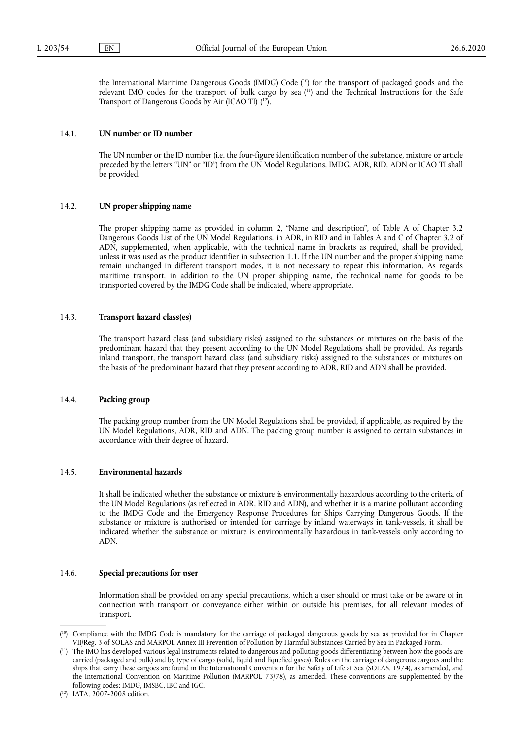<span id="page-26-5"></span><span id="page-26-4"></span><span id="page-26-3"></span>the International Maritime Dangerous Goods (IMDG) Code ( [10\)](#page-26-0) for the transport of packaged goods and the relevant IMO codes for the transport of bulk cargo by sea ( [11\)](#page-26-1) and the Technical Instructions for the Safe Transport of Dangerous Goods by Air (ICAO TI) ( [12\).](#page-26-2)

## 14.1. **UN number or ID number**

The UN number or the ID number (i.e. the four-figure identification number of the substance, mixture or article preceded by the letters "UN" or "ID") from the UN Model Regulations, IMDG, ADR, RID, ADN or ICAO TI shall be provided.

## 14.2. **UN proper shipping name**

The proper shipping name as provided in column 2, "Name and description", of Table A of Chapter 3.2 Dangerous Goods List of the UN Model Regulations, in ADR, in RID and in Tables A and C of Chapter 3.2 of ADN, supplemented, when applicable, with the technical name in brackets as required, shall be provided, unless it was used as the product identifier in subsection 1.1. If the UN number and the proper shipping name remain unchanged in different transport modes, it is not necessary to repeat this information. As regards maritime transport, in addition to the UN proper shipping name, the technical name for goods to be transported covered by the IMDG Code shall be indicated, where appropriate.

### 14.3. **Transport hazard class(es)**

The transport hazard class (and subsidiary risks) assigned to the substances or mixtures on the basis of the predominant hazard that they present according to the UN Model Regulations shall be provided. As regards inland transport, the transport hazard class (and subsidiary risks) assigned to the substances or mixtures on the basis of the predominant hazard that they present according to ADR, RID and ADN shall be provided.

### 14.4. **Packing group**

The packing group number from the UN Model Regulations shall be provided, if applicable, as required by the UN Model Regulations, ADR, RID and ADN. The packing group number is assigned to certain substances in accordance with their degree of hazard.

## 14.5. **Environmental hazards**

It shall be indicated whether the substance or mixture is environmentally hazardous according to the criteria of the UN Model Regulations (as reflected in ADR, RID and ADN), and whether it is a marine pollutant according to the IMDG Code and the Emergency Response Procedures for Ships Carrying Dangerous Goods. If the substance or mixture is authorised or intended for carriage by inland waterways in tank-vessels, it shall be indicated whether the substance or mixture is environmentally hazardous in tank-vessels only according to ADN.

## 14.6. **Special precautions for user**

Information shall be provided on any special precautions, which a user should or must take or be aware of in connection with transport or conveyance either within or outside his premises, for all relevant modes of transport.

<span id="page-26-0"></span><sup>(</sup> [10\)](#page-26-3) Compliance with the IMDG Code is mandatory for the carriage of packaged dangerous goods by sea as provided for in Chapter VII/Reg. 3 of SOLAS and MARPOL Annex III Prevention of Pollution by Harmful Substances Carried by Sea in Packaged Form.

<span id="page-26-1"></span><sup>(</sup> [11\)](#page-26-4) The IMO has developed various legal instruments related to dangerous and polluting goods differentiating between how the goods are carried (packaged and bulk) and by type of cargo (solid, liquid and liquefied gases). Rules on the carriage of dangerous cargoes and the ships that carry these cargoes are found in the International Convention for the Safety of Life at Sea (SOLAS, 1974), as amended, and the International Convention on Maritime Pollution (MARPOL 73/78), as amended. These conventions are supplemented by the following codes: IMDG, IMSBC, IBC and IGC.

<span id="page-26-2"></span><sup>(</sup> [12\)](#page-26-5) IATA, 2007-2008 edition.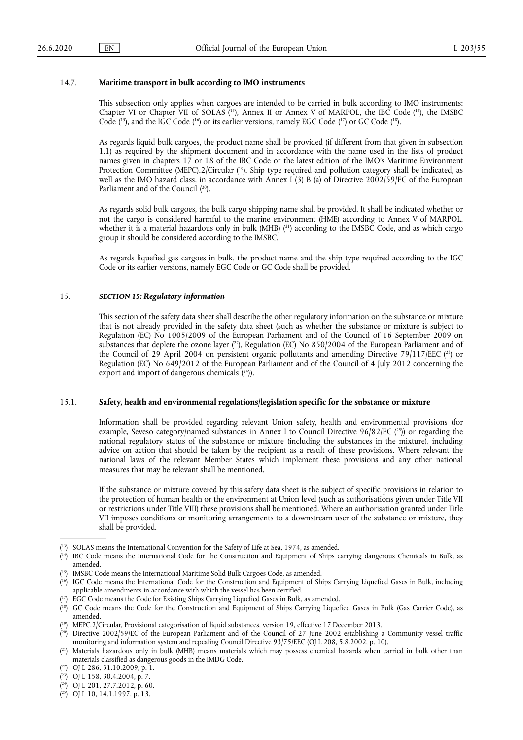### 14.7. **Maritime transport in bulk according to IMO instruments**

<span id="page-27-14"></span><span id="page-27-13"></span>This subsection only applies when cargoes are intended to be carried in bulk according to IMO instruments: Chapter VI or Chapter VII of SOLAS  $(^{13})$ , Annex II or Annex V of MARPOL, the IBC Code  $(^{14})$ , the IMSBC Code  $(^{15})$ , and the IGC Code  $(^{16})$  or its earlier versions, namely EGC Code  $(^{17})$  or GC Code  $(^{18})$ .

<span id="page-27-15"></span>As regards liquid bulk cargoes, the product name shall be provided (if different from that given in subsection 1.1) as required by the shipment document and in accordance with the name used in the lists of product names given in chapters 17 or 18 of the IBC Code or the latest edition of the IMO's Maritime Environment Protection Committee (MEPC).2/Circular ( [19\)](#page-27-6). Ship type required and pollution category shall be indicated, as well as the IMO hazard class, in accordance with Annex I (3) B (a) of Directive 2002/59/EC of the European Parliament and of the Council ( [20\).](#page-27-7)

<span id="page-27-17"></span><span id="page-27-16"></span>As regards solid bulk cargoes, the bulk cargo shipping name shall be provided. It shall be indicated whether or not the cargo is considered harmful to the marine environment (HME) according to Annex V of MARPOL, whether it is a material hazardous only in bulk (MHB) ( [21\)](#page-27-8) according to the IMSBC Code, and as which cargo group it should be considered according to the IMSBC.

As regards liquefied gas cargoes in bulk, the product name and the ship type required according to the IGC Code or its earlier versions, namely EGC Code or GC Code shall be provided.

#### 15. *SECTION 15: Regulatory information*

<span id="page-27-19"></span><span id="page-27-18"></span>This section of the safety data sheet shall describe the other regulatory information on the substance or mixture that is not already provided in the safety data sheet (such as whether the substance or mixture is subject to Regulation (EC) No 1005/2009 of the European Parliament and of the Council of 16 September 2009 on substances that deplete the ozone layer (<sup>22</sup>), Regulation (EC) No 850/2004 of the European Parliament and of the Council of 29 April 2004 on persistent organic pollutants and amending Directive 79/117/EEC  $(^{23})$  or Regulation (EC) No 649/2012 of the European Parliament and of the Council of 4 July 2012 concerning the export and import of dangerous chemicals (<sup>24</sup>)).

#### <span id="page-27-20"></span>15.1. **Safety, health and environmental regulations/legislation specific for the substance or mixture**

<span id="page-27-21"></span>Information shall be provided regarding relevant Union safety, health and environmental provisions (for example, Seveso category/named substances in Annex I to Council Directive  $96/82/EC$  ( $^{25}$ )) or regarding the national regulatory status of the substance or mixture (including the substances in the mixture), including advice on action that should be taken by the recipient as a result of these provisions. Where relevant the national laws of the relevant Member States which implement these provisions and any other national measures that may be relevant shall be mentioned.

If the substance or mixture covered by this safety data sheet is the subject of specific provisions in relation to the protection of human health or the environment at Union level (such as authorisations given under Title VII or restrictions under Title VIII) these provisions shall be mentioned. Where an authorisation granted under Title VII imposes conditions or monitoring arrangements to a downstream user of the substance or mixture, they shall be provided.

<span id="page-27-0"></span><sup>(</sup> [13\)](#page-27-13) SOLAS means the International Convention for the Safety of Life at Sea, 1974, as amended.

<span id="page-27-1"></span><sup>(</sup> [14\)](#page-27-13) IBC Code means the International Code for the Construction and Equipment of Ships carrying dangerous Chemicals in Bulk, as amended.

<span id="page-27-2"></span><sup>(</sup> [15\)](#page-27-14) IMSBC Code means the International Maritime Solid Bulk Cargoes Code, as amended.

<span id="page-27-3"></span><sup>(</sup> [16\)](#page-27-14) IGC Code means the International Code for the Construction and Equipment of Ships Carrying Liquefied Gases in Bulk, including applicable amendments in accordance with which the vessel has been certified.

<span id="page-27-4"></span> $(^{17})$  EGC Code means the Code for Existing Ships Carrying Liquefied Gases in Bulk, as amended.

<span id="page-27-5"></span><sup>(</sup> [18\)](#page-27-14) GC Code means the Code for the Construction and Equipment of Ships Carrying Liquefied Gases in Bulk (Gas Carrier Code), as amended.

<span id="page-27-6"></span><sup>(</sup> [19\)](#page-27-15) MEPC.2/Circular, Provisional categorisation of liquid substances, version 19, effective 17 December 2013.

<span id="page-27-7"></span><sup>(</sup> [20\)](#page-27-16) Directive 2002/59/EC of the European Parliament and of the Council of 27 June 2002 establishing a Community vessel traffic monitoring and information system and repealing Council Directive 93/75/EEC (OJ L 208, 5.8.2002, p. 10).

<span id="page-27-8"></span><sup>(</sup> [21\)](#page-27-17) Materials hazardous only in bulk (MHB) means materials which may possess chemical hazards when carried in bulk other than materials classified as dangerous goods in the IMDG Code.

<span id="page-27-9"></span><sup>(</sup> [22\)](#page-27-18) OJ L 286, 31.10.2009, p. 1.

<span id="page-27-10"></span><sup>(</sup> [23\)](#page-27-19) OJ L 158, 30.4.2004, p. 7.

<span id="page-27-11"></span><sup>(</sup> [24\)](#page-27-20) OJ L 201, 27.7.2012, p. 60.

<span id="page-27-12"></span><sup>(</sup> [25\)](#page-27-21) OJ L 10, 14.1.1997, p. 13.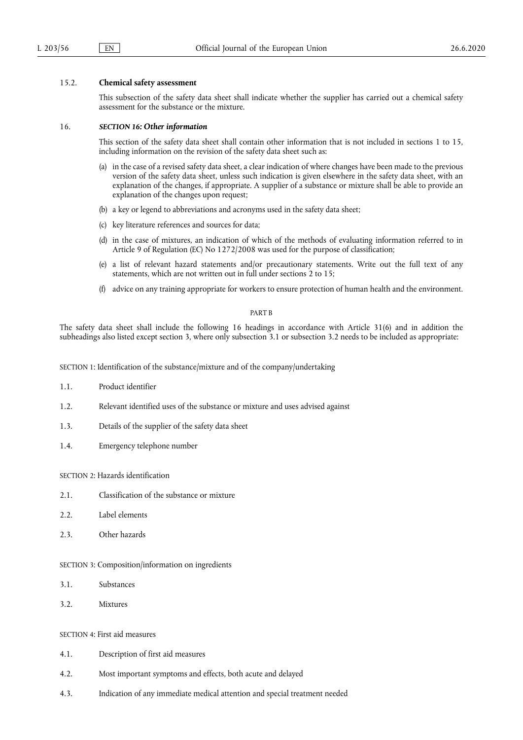## 15.2. **Chemical safety assessment**

This subsection of the safety data sheet shall indicate whether the supplier has carried out a chemical safety assessment for the substance or the mixture.

### 16. *SECTION 16: Other information*

This section of the safety data sheet shall contain other information that is not included in sections 1 to 15, including information on the revision of the safety data sheet such as:

- in the case of a revised safety data sheet, a clear indication of where changes have been made to the previous version of the safety data sheet, unless such indication is given elsewhere in the safety data sheet, with an explanation of the changes, if appropriate. A supplier of a substance or mixture shall be able to provide an explanation of the changes upon request;
- (b) a key or legend to abbreviations and acronyms used in the safety data sheet;
- (c) key literature references and sources for data;
- (d) in the case of mixtures, an indication of which of the methods of evaluating information referred to in Article 9 of Regulation (EC) No 1272/2008 was used for the purpose of classification;
- (e) a list of relevant hazard statements and/or precautionary statements. Write out the full text of any statements, which are not written out in full under sections 2 to 15;
- (f) advice on any training appropriate for workers to ensure protection of human health and the environment.

## PART B

The safety data sheet shall include the following 16 headings in accordance with Article 31(6) and in addition the subheadings also listed except section 3, where only subsection 3.1 or subsection 3.2 needs to be included as appropriate:

SECTION 1: Identification of the substance/mixture and of the company/undertaking

- 1.1. Product identifier
- 1.2. Relevant identified uses of the substance or mixture and uses advised against
- 1.3. Details of the supplier of the safety data sheet
- 1.4. Emergency telephone number

SECTION 2: Hazards identification

- 2.1. Classification of the substance or mixture
- 2.2. Label elements
- 2.3. Other hazards

SECTION 3: Composition/information on ingredients

- 3.1. Substances
- 3.2. Mixtures

SECTION 4: First aid measures

- 4.1. Description of first aid measures
- 4.2. Most important symptoms and effects, both acute and delayed
- 4.3. Indication of any immediate medical attention and special treatment needed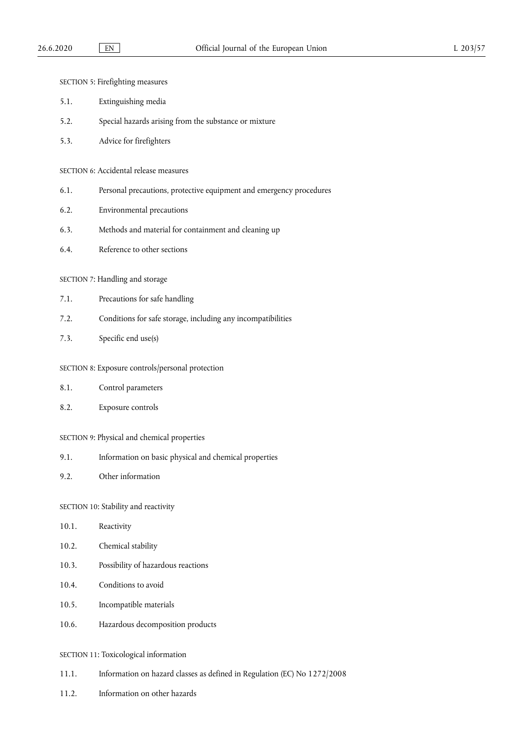SECTION 5: Firefighting measures

- 5.1. Extinguishing media
- 5.2. Special hazards arising from the substance or mixture
- 5.3. Advice for firefighters

SECTION 6: Accidental release measures

- 6.1. Personal precautions, protective equipment and emergency procedures
- 6.2. Environmental precautions
- 6.3. Methods and material for containment and cleaning up
- 6.4. Reference to other sections

SECTION 7: Handling and storage

- 7.1. Precautions for safe handling
- 7.2. Conditions for safe storage, including any incompatibilities
- 7.3. Specific end use(s)

### SECTION 8: Exposure controls/personal protection

- 8.1. Control parameters
- 8.2. Exposure controls
- SECTION 9: Physical and chemical properties
- 9.1. Information on basic physical and chemical properties
- 9.2. Other information

SECTION 10: Stability and reactivity

- 10.1. Reactivity
- 10.2. Chemical stability
- 10.3. Possibility of hazardous reactions
- 10.4. Conditions to avoid
- 10.5. Incompatible materials
- 10.6. Hazardous decomposition products
- SECTION 11: Toxicological information
- 11.1. Information on hazard classes as defined in Regulation (EC) No 1272/2008
- 11.2. Information on other hazards